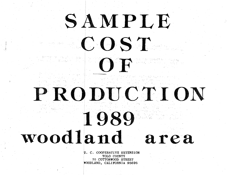# SAMPLE COST

OF

PRODUCTION

1989 woodland

> U. C. COOPERATIVE EXTENSION YOLO COUNTY 70 COTTONWOOD STREET WOODLAND, CALIFORNIA 95695

area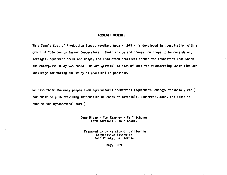#### **ACKllOIA.EDGEIEITS**

 $100\,M_\odot$ 

VO)

This Sample Cost of Production Study, Woodland Area - 1989 - is developed in consultation with a group of Yolo County fanner Cooperators. Their advice and counsel on crops to be considered, acreages, equipment needs and usage, and production practices fonned the foundation upon which the enterprise study was based. We are grateful to each of them for volunteering their time and knowledge for making the study as practical as possible.

We also thank the many people from agricultural industries (equipment, energy, financial, etc.) for their help in providing information on costs of materials, equipment, money and other inputs to the hypothetical farm.)

> Gene Miyao - Tom Kearney - Carl Schoner Farm Advisors - Yolo County

Prepared by University of California Cooperative Extension Yolo County, California

May, 1989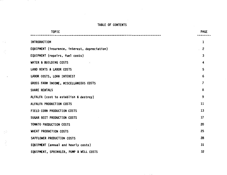#### TABLE OF CONTENTS

 $\sim 10$ 

 $\sim$   $\frac{2\pi}{\omega}$ 

 $\frac{1}{2}$ 

 $\begin{array}{c} \frac{1}{2} \\ \frac{1}{2} \end{array}$ 

| <b>TOPIC</b>                                  | <b>PAGE</b>    |
|-----------------------------------------------|----------------|
| <b>INTRODUCTION</b>                           | 1              |
| EQUIPMENT (insurance, interest, depreciation) | 2              |
|                                               |                |
| EQUIPMENT (repairs, fuel costs)               | 3              |
| WATER & BUILDING COSTS                        | 4              |
| LAND RENTS & LABOR COSTS                      | 5              |
| LABOR COSTS, LOAN INTEREST                    | 6              |
| GROSS FARM INCOME, MISCELLANEOUS COSTS        | $\overline{7}$ |
| SHARE RENTALS                                 | 8              |
| ALFALFA (cost to establish & destroy)         | 9              |
| ALFALFA PRODUCTION COSTS                      | 11             |
| FIELD CORN PRODUCTION COSTS                   | 13             |
| SUGAR BEET PRODUCTION COSTS                   | 17             |
| TOMATO PRODUCTION COSTS                       | 20             |
| WHEAT PRODUCTION COSTS                        | 25             |
| SAFFLOWER PRODUCTION COSTS                    | 28             |
| EQUIPMENT (annual and hourly costs)           | 31             |
| EQUIPMENT, SPRINKLER, PUMP & WELL COSTS       | 32             |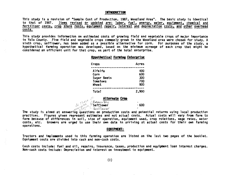#### **INTRODUCTION**

This study is a revision of "Sample Cost of Production, 1987, Woodland Area". The basic study is identical to that of 1987. Items revised or updated are: labor, fuel, energy, water, equipment, chemical and fertilizer costs, crop share rents, equipment repair, interest and depreciation costs, and other overhead costs.

This study provides information on estimated costs of growing field and vegetable crops of major importance in Yolo County. Five field and vegetable crops commonly grown in the Woodland area were chosen for study. A sixth crop, safflower, has been added as a possible alternative for corn. For purposes of the study, a hypothetical farming operation was developed, based on the minimum acreage of each crop that might be considered an efficient unit for that crop, as part of the total enterprise.

#### Hypothetical Farming Enterorise

| Crops           | Acres |
|-----------------|-------|
| Alfalfa         | 400   |
| Corn            | 600   |
| Sugar Beets     | 300   |
| <b>Tomatoes</b> | 700   |
| Wheat           | 900   |
| <b>Total</b>    | 2.900 |

 $-600$ 

#### Alternate Crop  $1$ Beans  $\overline{D_{14}}$

# do Thee Safflower  $sumH$ gwer

 $4h206$ 

The study is aimed at answering questions on production costs and potential returns using local production practices. Figures given represent estimates and not actual costs. Actual costs will vary from farm to farm because of differences in soil, size of operation, equipment used, crop rotations, wage rates, water costs, etc. Growers are urged to use their own data in arriving at actual costs for their own farming operations.

#### **EQUIPMENT:**

Tractors and implements used in this farming operation are listed on the last two pages of the booklet. Equipment costs are divided into cash and non-cash costs.

Cash costs include: fuel and oil, repairs, insurance, taxes, production and equipment loan interest charges. Non-cash costs include: Depreciation and interest on investment in equipment.

 $(1)$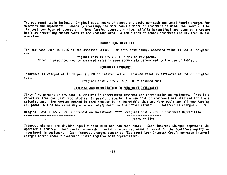The equipment table includes: Original cost, hours of operation, cash, non-cash and total hourly charges for<br>tractors and implements. Generally speaking, the more hours a piece of equipment is used, the lower will be its cost per hour of operation. Some farming operations (i.e. alfalfa harvesting) are done on a custom<br>basis at prevailing custom rates in the Woodland area. A few pieces of rental equipment are utilized in the<br>operation.

#### COUNTY EQUIPMENT TAX

The tax rate used is 1.1% of the assessed value. For this cost study, assessed value is 55% of original cost.

Original cost is 55% x .011 = tax on equipment.<br>(Note: In practice, county assessed value is more accurately determined by the use of tables.)

#### EQUIPMENT INSURANCE:

Insurance is charged at \$5.00 per \$1,000 of insured value. Insured value is estimated at 55% of original cost.

Original cost x 55% x  $$5/1000$  = insured cost

#### INTEREST AND DEPRECIATION ON EQUIPMENT INVESTMENT

Sixty five percent of new cost is utilized in determining interest and depreciation on equipment. This is a departure from our past crop studies. In previous studies the new cost of equipment was utilized for these calcula

Original Cost x .65 x 12% = interest on investment \*\*\*\* Original Cost x .65 = Equipment Depreciation. -----------------------------------2 years of life

Interest charges are divided equally into cash and non-cash costs. Cash interest charges represent the operator's equipment loan costs; non-cash interest charges represent interest on the operators equity or investment in

(2)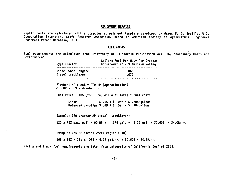#### EQUIPPENT REPAIRS

Repair costs are calculated with a computer spreadsheet template developed by James P. Du Bruille, U.C.<br>Cooperative Extension, Staff Research Associate, based on American Society of Agricultural Engineers<br>Equipment Repair

#### FUEL COSTS

 $\mathcal{Z}(\mathcal{A})$ 

G.

Fuel requirements are calculated from University of California Publication AXT 336, "Machinery Costs and Performance". Performance".

| .065<br>Diesel wheel engine<br>Diesel tracklayer<br>.075<br>Flywheel HP $\times$ 86% = PTO HP (approximation)<br>PTO HP $\times$ 86% = drawbar HP<br>Fuel Price + 10% (for lube, oil & filters) = fuel costs<br>Diesel $$3.55 + $3.055 = $605/galUnleaded gasoline $3.89 + $3.09 = $3.98/gallon$<br>Example: 120 drawbar HP diesel tracklayer:<br>120 x 75% max. pull = 90 HP x .075 gal. = 6.75 gal. x \$0.605 = \$4.08/hr.<br>Example: 165 HP diesel wheel engine (PTO)<br>165 x 86% x 75% x .065 = 6.92 gal/hr. x \$0.605 = \$4.19/hr. | Type Tractor Type Tractor | Gallons Fuel Per Hour Per Drawbar<br>Horsepower at 75% Maximum Rating |
|-------------------------------------------------------------------------------------------------------------------------------------------------------------------------------------------------------------------------------------------------------------------------------------------------------------------------------------------------------------------------------------------------------------------------------------------------------------------------------------------------------------------------------------------|---------------------------|-----------------------------------------------------------------------|
|                                                                                                                                                                                                                                                                                                                                                                                                                                                                                                                                           |                           |                                                                       |
|                                                                                                                                                                                                                                                                                                                                                                                                                                                                                                                                           |                           |                                                                       |
|                                                                                                                                                                                                                                                                                                                                                                                                                                                                                                                                           |                           |                                                                       |
|                                                                                                                                                                                                                                                                                                                                                                                                                                                                                                                                           |                           |                                                                       |
|                                                                                                                                                                                                                                                                                                                                                                                                                                                                                                                                           |                           |                                                                       |
|                                                                                                                                                                                                                                                                                                                                                                                                                                                                                                                                           |                           |                                                                       |
|                                                                                                                                                                                                                                                                                                                                                                                                                                                                                                                                           |                           |                                                                       |
|                                                                                                                                                                                                                                                                                                                                                                                                                                                                                                                                           |                           |                                                                       |

Pickup and truck fuel requirements are taken from University of California leaflet 2263.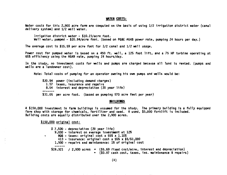#### MATER COSTS:

Water costs for this 2,900 acre farm are computed on the basis of using 1/2 irrigation district water (canal delivery system) and 1/2 well water.

Irrigation district water - \$10.23/acre foot.<br>Well water, pumped - \$20.94/acre foot. (based on PG&E AG4B power rate, pumping 24 hours per day.)

The average cost is \$15.59 per acre foot for 1/2 canal and 1/2 well usage.

Power cost for pumped water is based on a 450 ft. well, a 125 foot lift, and a 75 HP turbine operating at 65% efficiency using the AG48 rate, pumping 24 hours/day.

In the study, no investment costs for wells and pumps are charged because all land is rented. (pumps and wells are a landowner cost).

Note: Total costs of pumping for an operator owning his own pumps and wells would be:

\$20.94 power (including demand charges) 1.57 taxes, insurance and repairs 8.54 interest and depreciation (20 year life) \$31.05 per acre foot. (based on pumping 570 acre feet per year)

#### BU ILDilllSS

A \$150,000 investment in farm buildings is assumed for the study. The primary building is a fully equipped<br>farm shop with storage for chemicals, fertilizer and seed. A used, \$5,000 forklift is included.<br>Building costs are

\$150,000 original cost:

\$ 7,500 - depreciation (20 year life) 9,000 - interest on average investment at 12% • 908 - taxes: original cost x 55% x 1.10% 413 insurance: original cost x 55% x \$5/\$1,000 1,500 - repairs and maintenance: 1% of original cost  $$19,321$  / 2,900 acres  $*$  (\$5.69 fixed cost/acre, interest and depreciation) • (\$0.97 cash cost, taxes, ins. maintenance & repairs)

(4)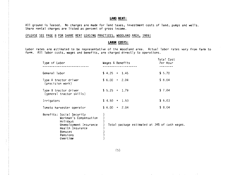#### LAND RENT:

All ground is leased. No charges are made for land taxes, investment costs of land, pumps and wells. Share rental charges are listed as percent of gross income.

#### (PLEASE SEE PAGE 8 FOR SHARE RENT LEASING PRACTICES, WOODLAND AREA, 1989)

#### **LABOR COSTS:**

Labor rates are estimated to be representative of the Woodland area. Actual labor rates vary from farm to farm. All labor costs, wages and benefits, are charged directly to operations.

| Type of Labor                                                                                                                                    | Wages & Benefits                              | Total Cost<br>Per Hour |
|--------------------------------------------------------------------------------------------------------------------------------------------------|-----------------------------------------------|------------------------|
| General labor                                                                                                                                    | $$4.25 + 1.45$                                | \$5.70                 |
| Type A tractor driver<br>(precision work)                                                                                                        | $$6.00 + 2.04$                                | \$8,04                 |
| Type B tractor driver<br>${qeneral tractor$ skills)                                                                                              | $$5.25 + 1.79$                                | \$7.04                 |
| Irrigators                                                                                                                                       | $$4.50 + 1.53$                                | \$6.03                 |
| Tomato harvester operator                                                                                                                        | $$6.00 + 2.04$                                | \$8.04                 |
| Benefits: Social Security<br>Workman's Compensation<br>Holidays<br>Unemployment Insurance<br>Health Insurance<br>Bonuses<br>Pensions<br>Overtime | Total package estimated at 34% of cash wages. |                        |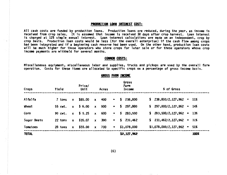#### PIOOUCTIOlll I.OM **lllTEllEST COST:**

All cash costs are funded by production loans. Production loans are reduced, during the year, as income is received from crop sales. It is assumed that income is received 30 days after crop harvest. Loan interest<br>is charge had been integrated and if a beginning cash reserve had been used. On the other hand, production loan costs<br>will be much higher for those operators who store crops for later sale or for those operators whose crop<br>income pa

#### Compain costs:

Miscellaneous equipment, miscellaneous labor and supplies, trucks and pickups are used by the overall farm<br>operation. Costs for these items are allocated to specific crops on a percentage of gross income basis.

| Crops       | Yield   |              | Price/<br>Unit |                           | Acres |                           |    | Gross<br>Farm<br>Income | % of Gross                   |      |
|-------------|---------|--------------|----------------|---------------------------|-------|---------------------------|----|-------------------------|------------------------------|------|
| Alfalfa     | 7 tons  | $\bm{x}$     | \$85.00        | $\boldsymbol{x}$          | 400   | $\blacksquare$            | s. | 238,800                 | $$238,800/2,127,962 = 11%$   |      |
| Wheat       | 55 cwt. |              | $x = 56.00$    | $\boldsymbol{x}$          | 900   | $\overline{\mathbf{a}}$   | s. | 297,000                 | $$297,000/2,127,962 = 14%$   |      |
| Corn        | 90 cwt. |              | $x \t 5.25$    | $\boldsymbol{x}$          | 600   | <b>Bar</b> and the second | 5  | 283,500                 | $$283,500/2,127,962 = 13%$   |      |
| Sugar Beets | 22 tons | $\mathbf{x}$ | \$35.07        | $\mathbf{x}$              | 300   | $\overline{\mathbf{z}}$   | s. | 231,462                 | $$231,462/2,127,962 = 11%$   |      |
| Tomatoes    | 28 tons | $\mathbf{x}$ | \$55.00        | $\boldsymbol{\mathsf{x}}$ | 700   | 紙                         |    | \$1,078,000             | $$1,078,000/2,127,962 = 51%$ |      |
| TOTAL       |         |              |                |                           |       |                           |    | \$2,127,962             |                              | 100% |

lillOSS FARM **lllCOllE** 

#### (6)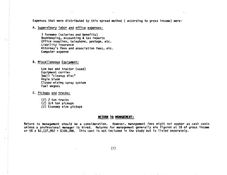Expenses that were distributed by this spread method ( according to gross income) were:

A. Supervisory labor and office expenses:

3 foremen (salaries and benefits} Bookkeeping, accounting & tax reports Office supplies, telephone, postage, etc. Lfabflity insurance Attorney's fees and association fees, etc. Computer expense

 $\mathcal{A}$  and  $\mathcal{A}$  are the set of the set of the set of the set of the set of the set of  $\mathcal{A}$ 

8. Miscellaneous Equipment:

Low bed and tractor (used)<br>Equipment carrier Small "cleanup disc" Angle blade Closed mixing spray system Fuel wagons

C. Pickups and trucks:

(2) *2* ton trucks (2) 3/4 ton pickups (2) Economy size pickups

#### RETURN TO MANAGEMENT:

Return to management should be a consideration. However, management fees might not appear as cash costs unless a professional manager is hired. Returns for management generally are figured at 5% of gross income or  $5\%$  x  $$2,127,962$  =  $$106,398$ . This cost is not included in the study but is listed separately.

(7)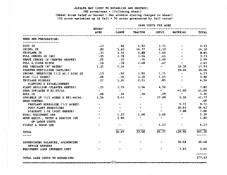#### ALFALFA HAY (COST TO ESTABLISH AND DESTROY)

#### 100 acres/year - (following wheat)

### (Wheat strav baled or burned - One stubble discing charged to wheat)

(50 acres aprinkled up in fall  $+$  50 acres germinated by fall rains)

|                                                                                                       | Hours/           |                         | CASH COSTS PER ACRE          |                                |                                                           |               |
|-------------------------------------------------------------------------------------------------------|------------------|-------------------------|------------------------------|--------------------------------|-----------------------------------------------------------|---------------|
|                                                                                                       | ACRE             | LABOR                   | <b>TRACTOR</b>               | IMPLT.                         | MATERIAL                                                  | <b>TOTAL</b>  |
| SEED BED PREPARATION:                                                                                 |                  |                         |                              |                                |                                                           |               |
| DISC 1X                                                                                               | .13              |                         | $.92 \t 1.92 \t 1.71$        |                                |                                                           | $-4.55$       |
| CHISEL 2X                                                                                             | .80              |                         | $5.63 \t14.37 \t4.10$        |                                | $\bullet$ . The set of $\bullet$                          | 24.10         |
| TRIPLANE 2X                                                                                           | .33              |                         | $2.32 \t 4.88 \t 1.65$       |                                | $\sigma$ . $\sigma$                                       | 8.85          |
| PULL CHECKS 1X (BG)                                                                                   | .25              | 1.76                    | 1.56                         | .41                            |                                                           | 3.73          |
| SHAPE CHECKS 1X (RENTED SHAPER)                                                                       | .05              | .35                     |                              | $.74$ 1.00                     | <b>Contract Contract</b>                                  | 2.09          |
| PULL & CLOSE DITCH                                                                                    | .10              |                         | $.70 \t1.48$                 | .47                            | <b>Contract Contract Contract</b>                         | 2.65          |
| PRE IRRIGATE (8" WATER)                                                                               |                  | $1.25$ 7.54             | <b>Contract Contract</b>     | <b>Contract Contract State</b> | 10.39                                                     | 17.93         |
| STARTER FERTILIZER (APPLIED)                                                                          |                  |                         |                              |                                | 20.06                                                     | 20.06         |
| INCORP. HERBICIDE (1/2 AC.) DISC 2X                                                                   |                  |                         | $.13 \t .92 \t 1.92 \t 1.71$ |                                | $\sim$                                                    | 4.55          |
| DISC $(1/2$ ACRES)                                                                                    | .08              | .56                     | 1.18                         | 1.05                           | $\sim$ 100 $\mu$ m $^{-1}$                                | 2.80          |
| TRIPLANE MIDDLES                                                                                      | .17              |                         | 1.20 2.51                    | .85                            | <b>Section</b>                                            | 4.56          |
| PLANTING & ESTABLISHMENT                                                                              |                  |                         |                              |                                |                                                           |               |
| PLANT BRILLION (PLANTER RENTED)                                                                       | .25              |                         | $1.76$ 1.56 4.50             |                                | <b>Contract Contract Street</b>                           | 7.82          |
| SEED 200/ACRE @ \$2.05/LB.                                                                            | $\sim$           | $\sim 100$ km s $^{-1}$ | $\sim$                       | $\sim$                         |                                                           | 41.00 41.00   |
| ROLL 1X                                                                                               | .08              | $.56$ . $.50$           |                              | .29                            | $\sim 100$ km s $^{-1}$                                   | 1,36          |
| SPRINKLE UP $(1/2$ ACRES @ \$83.46/AC.                                                                | 1.56             | 9.41                    | $\mathbf{a}$                 | 27.09                          | 5.24                                                      | 41.73         |
| WEED CONTROL                                                                                          |                  |                         |                              |                                |                                                           | $\cdot$ .00   |
| PREPLANT HERBICIDE (1/2 ACRES)                                                                        | $\bullet$        | $\bullet$               | $\tilde{\phantom{a}}$        |                                | $-9.72$ 9.72                                              |               |
| POST PLANT HERBICIDES                                                                                 |                  | $\frac{1}{2}$           | $\blacksquare$               |                                | $-26.63$                                                  | 26.63         |
| AIRCRAFT 1.5X (POST EMERGE)                                                                           |                  | $\sim$                  |                              | $\sim$                         | 7.88                                                      | 7.88          |
| MISC. EQUIPMENT USE                                                                                   | $\mathbf{m} = 0$ | 1.27                    | 1.08                         | 3.05                           | $\mathcal{L}_{\text{max}}$ and $\mathcal{L}_{\text{max}}$ | 5.39          |
| MOVE EQUIP., SETUP & SERVICE 10%<br>OF LABOR COSTS                                                    |                  | 1.80                    |                              |                                | $\mathbf{m}$ . $\mathbf{m}$                               | 1.80          |
| PICKUP & TRUCK USE                                                                                    |                  |                         |                              | 4.13                           |                                                           | 4.13          |
| TOTAL                                                                                                 |                  | 36.69                   | 33.68                        | 85.71                          | 120.90                                                    | 243.30        |
|                                                                                                       |                  |                         |                              |                                |                                                           |               |
| SUPERVISORS SALARIES, ACCOUNTING<br>OFFICE EXPENSE                                                    |                  |                         |                              |                                | 30.48                                                     | 30.48         |
| EQUIPMENT LOAN INTEREST COST                                                                          |                  |                         |                              |                                |                                                           | $3.65$ $3.65$ |
| TOTAL CASH COSTS TO ESTABLISH:                                                                        |                  |                         |                              |                                |                                                           | 277.42        |
| 司即做恐的就因如的或风却争的比赛者在研究调查类数据的的选择者因将在前者同样就是在所出到你的专家的时间一ズント注意地在欧洲直接在中国国际学者的法院又因在初期不时降低日报期不到同性的反应性的对专家同时的也不 |                  |                         |                              |                                |                                                           |               |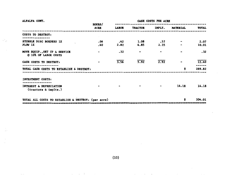| ALFALFA CONT.                                                   | <b>HOURS/</b> |       | <b>CASH COSTS PER ACRE</b> |        |                 |              |  |  |
|-----------------------------------------------------------------|---------------|-------|----------------------------|--------|-----------------|--------------|--|--|
|                                                                 | <b>ACRE</b>   | LABOR | <b>TRACTOR</b>             | IMPLT. | <b>MATERIAL</b> | <b>TOTAL</b> |  |  |
| COSTS TO DESTROY:<br>--------------                             |               |       |                            |        |                 |              |  |  |
| STUBBLE DISC BORDERS 1X                                         | .06           | .42   | 1.08                       | .57    | $\bullet$       | 2.07         |  |  |
| PLOW 1X                                                         | .40           | 2.82  | 4.85                       | 2.35   | $\blacksquare$  | 10.01        |  |  |
| MOVE EQUIP., SET UP & SERVICE<br><b>@ 10% OF LABOR COSTS</b>    |               | $-32$ |                            |        |                 | .32          |  |  |
| CASH COSTS TO DESTROY:                                          |               | 3.56  | 5.92                       | 2.92   |                 | 12.40        |  |  |
| -------------------<br>TOTAL CASH COSTS TO ESTABLISH & DESTROY: |               |       |                            |        | \$              | 289.82       |  |  |
| INVESTMENT COSTS:                                               |               |       |                            |        |                 |              |  |  |
| <br>INTEREST & DEPRECIATION<br>(tractors & implts.)             |               |       |                            |        | 14.18           | 14.18        |  |  |
| TOTAL ALL COSTS TO ESTABLISH & DESTROY: (per acre)              |               |       |                            |        | S               | 304.01       |  |  |

 $\sim \gamma_{\rm L}$ 

 $\mathbf{r}$ 

(10)

 $\sim 10^{-10}$  . The  $\sim 10^{-10}$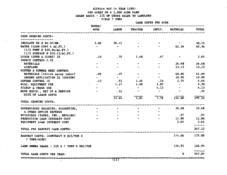#### ALFALFA HAY (4 YEAR LIFE)

400 ACRES ON A 2,900 ACRE FARM

#### LEASE BASIS - 21% OF GROSS SALES TO LANDLORD

YIELD 7 TONS

CASH COSTS PER ACRE

|                                                                   | <b>HOURS/</b> |                                       |                               |                                                                                |                                         |                 |
|-------------------------------------------------------------------|---------------|---------------------------------------|-------------------------------|--------------------------------------------------------------------------------|-----------------------------------------|-----------------|
|                                                                   | ACRE          |                                       | LABOR TRACTOR IMPLT. MATERIAL |                                                                                |                                         | <b>TOTAL</b>    |
| CASH GROWING COSTS:                                               |               |                                       |                               |                                                                                |                                         |                 |
| ---------------<br>IRRIGATE 8X @ \$6.03/HR.                       | 5.00          | 30.15                                 |                               |                                                                                |                                         | 30.15           |
| WATER (CASH COST 4 AC.FT.)                                        | $\sim$        | $\bullet\bullet$                      |                               |                                                                                | 62.34                                   | 62.34           |
| $(1/2$ PUMP @ \$20.94/AC.FT.)<br>$(1/2$ SURFACE @ \$10.23/AC.FT.) |               |                                       |                               |                                                                                |                                         |                 |
| DITCH (OPEN & CLOSE) 1X                                           | .10           | .70                                   | 1.48                          | .47                                                                            |                                         | 2.65            |
| INSECT CONTROL 2.5X                                               |               |                                       |                               |                                                                                |                                         |                 |
|                                                                   |               |                                       |                               |                                                                                | 24.48                                   |                 |
| MATERIALS                                                         |               | $\bullet$ . The set of $\bullet$      |                               |                                                                                | 13.13                                   | 24.48           |
| AIRPLANE                                                          |               |                                       |                               |                                                                                |                                         | 13.13           |
| WINTER & SUMMER WEED CONTROL                                      |               |                                       |                               |                                                                                |                                         |                 |
| MATERIALS (+ditch spray labor)                                    | .05           | .29                                   | oto.                          | $\bullet$                                                                      |                                         | 40.80 41.09     |
| GROUND APPLICATION 2X (CUSTOM)                                    |               | $\sim$                                | $\sim$                        |                                                                                | 10.90                                   | 10.90           |
| <b>GOPHER CONTROL 1X</b>                                          | .13           | . 92                                  | 1.26                          | .14                                                                            | 2.35                                    | 4.66            |
| MISC. EQUIPMENT USE                                               |               | 1.27                                  | 1.08                          | 3.05                                                                           | $\overline{\phantom{a}}$                | 5,39            |
| PICKUP & TRUCK USE                                                |               | $\mathbf{w}$ . The state $\mathbf{w}$ | $\sim$                        | 4.13                                                                           | $\sim$                                  | 4.13            |
| MOVE EQUIP., SET UP & SERVICE                                     |               | .32                                   |                               | $\bullet\bullet$ .<br><br><br><br><br><br><br><br><br><br><br><br><br><br><br> |                                         | .32             |
| <b>GIO% OF LABOR COSTS</b>                                        |               |                                       |                               |                                                                                |                                         |                 |
|                                                                   |               | 33.64                                 | 3.81                          | 7.78                                                                           | 154.00                                  | 199.22          |
| TOTAL GROWING COSTS:                                              |               |                                       |                               |                                                                                |                                         |                 |
| SUPERVISORS SALARIES, ACCOUNTING,                                 |               |                                       |                               | $\bullet$                                                                      |                                         | 30.48 30.48     |
| & OTHER OFFICE EXPENSE                                            |               |                                       |                               |                                                                                |                                         |                 |
| BUILDINGS (TAXES, INS., REPAIRS)                                  |               |                                       |                               |                                                                                |                                         | .97.97          |
| PRODUCTION LOAN INTEREST COST                                     |               |                                       |                               |                                                                                | 12.80 12.80                             |                 |
| EQUIPMENT LOAN INTEREST COST                                      |               |                                       |                               |                                                                                | 3.65                                    | 3.65<br>------- |
| TOTAL PRE HARVEST CASH COSTS?                                     |               |                                       |                               |                                                                                |                                         | 247.12          |
| HARVEST COSTS: (CONTRACT @ \$25/TON X<br>7 TONS/ACRE)             |               |                                       |                               |                                                                                | 175.00                                  | 175.00          |
| LAND OWNER SHARE - 21% X 7 TONS @ \$85/TON                        |               |                                       |                               |                                                                                | 124.95                                  | 124.95          |
| TOTAL CASH COSTS PER YEAR:                                        |               |                                       |                               |                                                                                | Ŝ                                       | 547.07          |
|                                                                   |               |                                       |                               |                                                                                | 2 以平衡的或形成的最终的现在分词网络机构经医济静脉管复数对手写作网络阿里尼亚 |                 |
|                                                                   |               |                                       |                               |                                                                                |                                         |                 |

ę.

 $\mathbf{v}$ 

the contract of the state of the contract of the contract of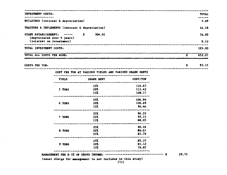| -------------<br>BUILDINGS (interest & depreciation)<br>TRACTORS & IMPLEMENTS (interest & depreciation)<br>\$<br>304.01<br>STAND ESTABLISHMENT:<br>(depreciated over 4 years)<br>(interest on investment)<br>-----------------------<br>TOTAL INVESTMENT COSTS:<br>\$<br>TOTAL ALL COSTS PER ACRE:<br>3 社会を社会の会社会の会社の最高度は地区有限公会会会社会社会社会社会社会社会科学研究所である社会系统公会があるご存在社会の共和国社会会社中国社会会社社会会会会社会社会社会社<br>\$.<br>COSTS PER TON:<br>COST PER TON AT VARIOUS YIELDS AND VARIOUS SHARE RENTS<br>COST/TON<br>SHARE RENT<br>YIELD<br>116.67<br>25%<br>112.42<br>$20\%$<br>5 TONS<br>108.17<br>15%<br>-------------<br>---------<br>----------------<br>104.94<br>25%<br>100.69<br>6 TONS<br>20%<br>96.44<br>15%<br>--------<br>-----<br>96.55<br>25%<br>93.15<br>7 TONS<br>21%<br>88.05<br>15%<br>--------<br>.<br>90.26<br>25 <sup>2</sup><br>86.01<br>20%<br>8 TONS<br>81.76<br>15%<br>85.37<br>25%<br>81.12<br>20%<br>9 TONS<br>76.87<br>15 <sup>z</sup> | INVESTMENT COSTS: |  |  | TOTAL  |
|-----------------------------------------------------------------------------------------------------------------------------------------------------------------------------------------------------------------------------------------------------------------------------------------------------------------------------------------------------------------------------------------------------------------------------------------------------------------------------------------------------------------------------------------------------------------------------------------------------------------------------------------------------------------------------------------------------------------------------------------------------------------------------------------------------------------------------------------------------------------------------------------------------------------------------------------------|-------------------|--|--|--------|
|                                                                                                                                                                                                                                                                                                                                                                                                                                                                                                                                                                                                                                                                                                                                                                                                                                                                                                                                               |                   |  |  | 5.69   |
|                                                                                                                                                                                                                                                                                                                                                                                                                                                                                                                                                                                                                                                                                                                                                                                                                                                                                                                                               |                   |  |  | 14.18  |
|                                                                                                                                                                                                                                                                                                                                                                                                                                                                                                                                                                                                                                                                                                                                                                                                                                                                                                                                               |                   |  |  | 76.00  |
|                                                                                                                                                                                                                                                                                                                                                                                                                                                                                                                                                                                                                                                                                                                                                                                                                                                                                                                                               |                   |  |  | 9.12   |
|                                                                                                                                                                                                                                                                                                                                                                                                                                                                                                                                                                                                                                                                                                                                                                                                                                                                                                                                               |                   |  |  | 105.00 |
|                                                                                                                                                                                                                                                                                                                                                                                                                                                                                                                                                                                                                                                                                                                                                                                                                                                                                                                                               |                   |  |  | 652.07 |
|                                                                                                                                                                                                                                                                                                                                                                                                                                                                                                                                                                                                                                                                                                                                                                                                                                                                                                                                               |                   |  |  | 93.15  |
|                                                                                                                                                                                                                                                                                                                                                                                                                                                                                                                                                                                                                                                                                                                                                                                                                                                                                                                                               |                   |  |  |        |
|                                                                                                                                                                                                                                                                                                                                                                                                                                                                                                                                                                                                                                                                                                                                                                                                                                                                                                                                               |                   |  |  |        |
|                                                                                                                                                                                                                                                                                                                                                                                                                                                                                                                                                                                                                                                                                                                                                                                                                                                                                                                                               |                   |  |  |        |
|                                                                                                                                                                                                                                                                                                                                                                                                                                                                                                                                                                                                                                                                                                                                                                                                                                                                                                                                               |                   |  |  |        |
|                                                                                                                                                                                                                                                                                                                                                                                                                                                                                                                                                                                                                                                                                                                                                                                                                                                                                                                                               |                   |  |  |        |
|                                                                                                                                                                                                                                                                                                                                                                                                                                                                                                                                                                                                                                                                                                                                                                                                                                                                                                                                               |                   |  |  |        |
|                                                                                                                                                                                                                                                                                                                                                                                                                                                                                                                                                                                                                                                                                                                                                                                                                                                                                                                                               |                   |  |  |        |
|                                                                                                                                                                                                                                                                                                                                                                                                                                                                                                                                                                                                                                                                                                                                                                                                                                                                                                                                               |                   |  |  |        |
|                                                                                                                                                                                                                                                                                                                                                                                                                                                                                                                                                                                                                                                                                                                                                                                                                                                                                                                                               |                   |  |  |        |
|                                                                                                                                                                                                                                                                                                                                                                                                                                                                                                                                                                                                                                                                                                                                                                                                                                                                                                                                               |                   |  |  |        |
|                                                                                                                                                                                                                                                                                                                                                                                                                                                                                                                                                                                                                                                                                                                                                                                                                                                                                                                                               |                   |  |  |        |
|                                                                                                                                                                                                                                                                                                                                                                                                                                                                                                                                                                                                                                                                                                                                                                                                                                                                                                                                               |                   |  |  |        |
|                                                                                                                                                                                                                                                                                                                                                                                                                                                                                                                                                                                                                                                                                                                                                                                                                                                                                                                                               |                   |  |  |        |
|                                                                                                                                                                                                                                                                                                                                                                                                                                                                                                                                                                                                                                                                                                                                                                                                                                                                                                                                               |                   |  |  |        |
|                                                                                                                                                                                                                                                                                                                                                                                                                                                                                                                                                                                                                                                                                                                                                                                                                                                                                                                                               |                   |  |  |        |
|                                                                                                                                                                                                                                                                                                                                                                                                                                                                                                                                                                                                                                                                                                                                                                                                                                                                                                                                               |                   |  |  |        |
|                                                                                                                                                                                                                                                                                                                                                                                                                                                                                                                                                                                                                                                                                                                                                                                                                                                                                                                                               |                   |  |  |        |
| 29.75<br>s<br>MANAGEMENT FEE @ 5% OF GROSS INCOME: -----------------<br>(usual charge for management is not included in this study)                                                                                                                                                                                                                                                                                                                                                                                                                                                                                                                                                                                                                                                                                                                                                                                                           |                   |  |  |        |

 $\sim 10^{-1}$ 

 $\mathcal{F}_{\mathcal{G}}$ 

 $\mathcal{F}^{\mathcal{G}}_{\mathcal{G}}$ 

 $\sim$   $\sim$ 

 $\sim$ 

 $\sim$ 

 $\frac{1}{2}$ 

 $\sim$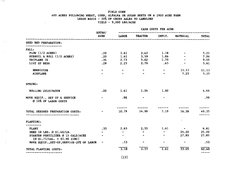#### FIELD CORN 600 ACRES FOLLOWING WHEAT, CORN, ALFALFA OR SUGAR BEETS ON A 2900 ACRE FARM LEASE BASIS - 20X OF GROSS SALES TO LANDLORD YIELD - 9,000 LBS/ACRE

in gine

i vilje

 $\mathcal{L}_{\mathcal{A}}$ 

 $\cdot$ 

|                                                                            | HOURS/      |                | CASH COSTS PER ACRE |                       |                          |       |
|----------------------------------------------------------------------------|-------------|----------------|---------------------|-----------------------|--------------------------|-------|
|                                                                            | <b>ACRE</b> | LABOR          | <b>TRACTOR</b>      | IMPLT.                | <b>MATERIAL</b>          | TOTAL |
| SEED BED PREPARATION:                                                      |             |                |                     |                       |                          |       |
|                                                                            |             |                |                     |                       |                          |       |
| FALL:                                                                      |             |                |                     |                       |                          |       |
| PLOW $(1/2$ ACRES)                                                         | .20         | 1.61           | 2.42                | 1.18                  | $\tilde{\phantom{a}}$    | 5.21  |
| SUBSOIL & ROLL (1/2 ACRES)                                                 | .20         | 1.61           | 3.59                | 1.86                  |                          | 7.06  |
| TRIPLANE 2X                                                                | .34         | 2.73           | $5.02$ 1.70         |                       |                          | 9.46  |
| LIST UP BEDS                                                               | .28         | 2.25           | 2.70                | .65                   | $\bullet$                | 5.61  |
| HERBICIDE                                                                  | $\bullet$   | $\blacksquare$ |                     | $\tilde{\phantom{a}}$ | 11.13                    | 11.13 |
| <b>AIRPLANE</b>                                                            |             |                |                     | $\blacksquare$        | 5.25                     | 5.25  |
| SPRING:                                                                    |             |                |                     |                       |                          |       |
| ROLLING CULTIVATOR                                                         | .20         |                | $1.61$ 1.24         | 1.80                  |                          | 4.66  |
| MOVE EQUIP., SET UP & SERVICE<br>@ 10% OF LABOR COSTS                      |             | .98            |                     |                       |                          | .98   |
|                                                                            |             |                |                     |                       |                          |       |
| TOTAL SEEDBED PREPARATION COSTS:<br>-----------------------                |             | 10.79          | 14.99               | 7.19                  | 16.38                    | 49.35 |
| PLANTING:                                                                  |             |                |                     |                       |                          |       |
| <b>PLANT</b>                                                               | .33         | 2.65           | 2.55                | 1.61                  | <b>Contract Contract</b> | 6.81  |
| SEED 18 LBS. @ \$1.40/LB.                                                  |             | $\sim$         |                     |                       | 25.20                    | 25.20 |
| STARTER FERTILIZER @ 15 GALS/ACRE<br>$(0 \t{51.73/GAL.} + $1.90 \t{ZINC})$ |             | $\blacksquare$ |                     | $\tilde{\phantom{a}}$ | 27.85                    | 27.85 |
| MOVE EQUIP., SET-UP, SERVICE-207 OF LABOR                                  |             | .53            |                     |                       | $\:\:$                   | .53   |
| TOTAL PLANTING COSTS:                                                      |             | 3.18           | 2.55                | 1.61                  | 53.05                    | 60.40 |
|                                                                            |             |                |                     |                       |                          |       |

(13)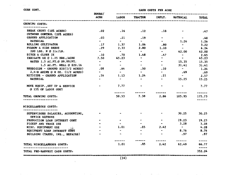| CORN CONT.                                             |                                  | CASH COSTS PER ACRE<br>------------------------------- |                                  |                                 |                                                                                                    |                  |  |
|--------------------------------------------------------|----------------------------------|--------------------------------------------------------|----------------------------------|---------------------------------|----------------------------------------------------------------------------------------------------|------------------|--|
|                                                        | hours/<br>acre                   |                                                        | LABOR TRACTOR                    | IMPLT.                          | MATERIAL                                                                                           | TOTAL            |  |
| GROWING COSTS:                                         |                                  |                                                        |                                  |                                 |                                                                                                    |                  |  |
| BREAK CRUST (10% ACRES)<br>CUTWORM CONTROL (20% ACRES) | .02                              |                                                        | $.16$ $.12$                      | . 18                            |                                                                                                    | .47              |  |
| GROUND APPLICATION                                     | .03                              | .21                                                    | .19                              | $\bullet$                       | $\sim$                                                                                             | - 40             |  |
| MATERIAL                                               | $\bullet$                        | $\overline{a}$                                         | $\bullet$ .                      | $\mathbf{w}$ .                  | 2.26                                                                                               | 1.26             |  |
| ROLLING CULTIVATOR                                     | .17                              |                                                        | $1.37$ $1.06$ .80                |                                 | $\sim 0.00$ and $\sim 0.00$                                                                        | 3.22             |  |
| FURROW & SIDE DRESS                                    | .29                              |                                                        | $2.33 \t2.80 \t1.10$             |                                 | $\sim 100$                                                                                         | 6.24             |  |
| 200 LBS. N @ 21c/LB.                                   | $\sim$                           | $\overline{a}$                                         | $\sim$                           | $\bullet$                       | 42.00                                                                                              | 42.00            |  |
| DITCH & CLOSE 2X                                       | .10                              | .70                                                    | 1.48                             | $-47$                           | $\sim$                                                                                             | 2.65             |  |
| IRRIGATE 6X @ 1.25 KRS./ACRE                           | 7.50                             | 45.23                                                  | $\overline{\phantom{a}}$         | $\sim$                          | $\sigma$ .<br><br><br><br><br><br><br><br><br><br><br><br><br><br><br><br><br><br><br><br><br><br> | 45.23            |  |
| WATER 1.5 AC.FT.@ 99.99/FT.                            | $\bullet$ . The set of $\bullet$ | $\sim$ $\sim$                                          | $\sim$                           | $\mathbf{m}$ . The $\mathbf{m}$ | 15.35 15.35                                                                                        |                  |  |
| 1.5 AC.FT. WELL @ \$20.16                              |                                  |                                                        | $\sim$ 0.000 $\sim$ 0.000 $\sim$ | $\sim$                          | 31.41                                                                                              | 31.41            |  |
| <b>HERBICIDE - GROUND RIG(1/2 ACRES)</b>               | .08                              | .64                                                    | .50                              | .10                             | <b>Contract Contract</b>                                                                           | 1.24             |  |
| $2,4-D$ AMINE @ 8 OZ. $(1/2 \text{ ACRES})$            | $\sim$ 100 $\sim$                | $\frac{d^{2}x}{dx^{2}}$                                | $\sim$                           | $\bullet$                       | .69                                                                                                | .69              |  |
| MITICIDE - GROUND APPLICATION                          | .16                              |                                                        | $1.13$ $1.24$                    | .21                             | <b>Contract Contract</b>                                                                           | 2.57             |  |
| <b>MATERIAL</b>                                        |                                  | $\omega$                                               | $\bullet$                        | $\sigma_{\rm NN}$               |                                                                                                    | 15.25 15.25      |  |
| MOVE EQUIP., SET UP & SERVICE<br>@ 15% OF LABOR COST   |                                  | $\sim$ 7.77                                            | <b>RON CONTROL</b>               |                                 |                                                                                                    | 7.77             |  |
|                                                        |                                  |                                                        | ------                           | -------                         | -----------                                                                                        | --------         |  |
| TOTAL GROWING COSTS:                                   |                                  |                                                        |                                  |                                 | 59.53 7.38 2.86 105.95                                                                             | 175.73<br>------ |  |
| MISCELLANEOUS COSTS:                                   |                                  |                                                        |                                  |                                 |                                                                                                    |                  |  |
| SUPERVISORS SALARIES, ACCOUNTING,<br>OFPICE EXPENSE    |                                  |                                                        |                                  |                                 | 30.25                                                                                              | 30.25            |  |
| PRODUCTION LOAN INTEREST COST                          |                                  | $\mathbf{w}$                                           |                                  |                                 | 19.23 19.23                                                                                        |                  |  |
| PICKUP AND TRUCK USE                                   |                                  |                                                        |                                  |                                 | 3.28                                                                                               | 3.28             |  |
| MISC. EQUIPMENT USE                                    |                                  | 1.01                                                   | .85                              | 2.42                            | $\sim 0.00$ and $\sim 0.00$                                                                        | 4.28             |  |
| EQUIPMENT LOAN INTEREST COST                           |                                  |                                                        |                                  |                                 | 8.76                                                                                               | 8.76             |  |
| BUILDING (TAXES, INS., REPAIRS)                        |                                  |                                                        | $\mathbf{a}$                     |                                 | .97                                                                                                | .97              |  |
|                                                        |                                  |                                                        |                                  |                                 |                                                                                                    |                  |  |
| TOTAL MISCELLANEOUS COSTS:                             |                                  | 1.01                                                   | . 85                             |                                 | $2.42$ 62.49                                                                                       | 66.77            |  |
|                                                        |                                  |                                                        |                                  |                                 |                                                                                                    |                  |  |
| TOTAL PRE-HARVEST CASH COSTS:                          |                                  |                                                        |                                  |                                 |                                                                                                    | 352.24           |  |

**Service** State

 $\cdot$ 

CORN CONT.

 $\mathcal{A}$  and  $\mathcal{A}$  is a simple of the set of  $\mathcal{A}$ 

**ผ**จะ 1999年1999年1999年1999年19月19日19月19日19日におよびた北海洋市は1999年1999年1999年1999年19月19日には1999年1999年1999年1999年19  $(14)$ 

ş.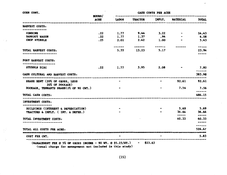| CORN CONT.                                                                                                                                           | <b>HOURS/</b> | CASH COSTS PER ACRE |                          |                                                            |                 |                        |  |
|------------------------------------------------------------------------------------------------------------------------------------------------------|---------------|---------------------|--------------------------|------------------------------------------------------------|-----------------|------------------------|--|
|                                                                                                                                                      | ACRE          | <b>LABOR</b>        | <b>TRACTOR</b>           |                                                            | IMPLT. MATERIAL | <b>TOTAL</b>           |  |
| HARVEST COSTS:                                                                                                                                       |               |                     |                          |                                                            |                 |                        |  |
| -------------<br><b>COMBINE</b>                                                                                                                      | .22           |                     | $1.77$ 9.44 $3.22$       |                                                            | $\blacksquare$  | 14.43                  |  |
| <b>BANKOUT WAGON</b>                                                                                                                                 | .22           | 1.77                | 1.37                     | .94                                                        |                 | 4.08                   |  |
| CHOP STUBBLE                                                                                                                                         | .25           | 2.01                | 2.42                     | 1.00                                                       |                 | 5.43                   |  |
|                                                                                                                                                      |               | -------             |                          | $\sim$ 0.000 $\sim$ 0.000 $\sim$ 0.000 $\sim$ 0.000 $\sim$ |                 | $\frac{1}{2}$          |  |
| TOTAL HARVEST COSTS:<br>                                                                                                                             |               |                     | 5.55 13.23 5.17          |                                                            |                 | 23.94<br>$\frac{1}{2}$ |  |
| POST HARVEST COSTS:                                                                                                                                  |               |                     |                          |                                                            |                 |                        |  |
| STUBBLE DISC                                                                                                                                         | .22           |                     | $1.77$ $3.95$ $2.08$ $-$ |                                                            |                 | 7.80<br>------         |  |
| CASH CULTURAL AND HARVEST COSTS:                                                                                                                     |               |                     |                          |                                                            |                 | 383.98                 |  |
| SHARE RENT (20% OF GROSS, LESS<br>20% OF DOCKAGE)                                                                                                    |               |                     |                          |                                                            |                 | 92.61 92.61            |  |
| DOCKAGE, TENNANTS SHARE (2% OF 90 CWT.)                                                                                                              |               |                     |                          |                                                            | 7.56            | 7.56<br>------         |  |
| TOTAL CASH COSTS:                                                                                                                                    |               |                     |                          |                                                            |                 | 484.15                 |  |
| INVESTMENT COSTS:                                                                                                                                    |               |                     |                          |                                                            |                 |                        |  |
| BUILDINGS (INTEREST & DEPRECIATION)                                                                                                                  |               |                     |                          |                                                            |                 | 5.69 5.69              |  |
| TRACTORS & IMPLT. (INT. & DEPRE.)                                                                                                                    |               |                     |                          |                                                            | 34.64<br>-----  | 34.64<br>$   -$        |  |
| TOTAL INVESTMENT COSTS:                                                                                                                              |               |                     |                          |                                                            | 40.33           | 40.33<br>-----         |  |
| ----------------------                                                                                                                               |               |                     |                          |                                                            |                 | ------                 |  |
| TOTAL ALL COSTS PER ACRE:                                                                                                                            |               |                     |                          |                                                            |                 | 524.47                 |  |
| 及없으로보일 kd 자료자료정실 보험 다양함 다양한 사업자 정보 상품 중간 주위 상품 대상 다양으로 지원했다. 지수는 대상 사업자들은 사업자들은 대상 사업자들은 대상 수 있다. 이 사업자들은 사업자들은 지수는 대부 대학을 지원하고 있다.<br>COST PER CWT. |               | $\bullet$           |                          |                                                            |                 | 5.83                   |  |
| (MANAGEMENT FEE @ 5% OF GROSS INCOME - 90 WT. @ \$5.25/WT.) - \$23.63<br>(usual charge for management not included in this study)                    |               |                     |                          |                                                            |                 |                        |  |

i Ca

 $\ddot{\cdot}$ 

 $\frac{1}{\sqrt{2}}$ 

 $\ddot{\cdot}$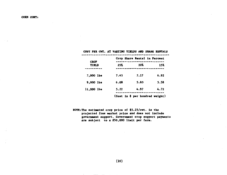#### COST PER CWT. AT VARYING YIELDS AND SHARE RENTALS

|                             |      | Crop Share Rental in Percent    |      |
|-----------------------------|------|---------------------------------|------|
| <b>CROP</b><br><b>YIELD</b> | 257  | 207                             | 15%  |
| 7,000 lbs                   | 7.43 | 7.17                            | 6.92 |
| 9.000 lbs                   | 6.08 | 5.83                            | 5.58 |
| 11,000 lbs                  | 5.22 | 4.97                            | 4.72 |
|                             |      | (Cost in \$ per hundred weight) |      |

NOTE: The estimated crop price of \$5.25/cwt. is the projected free market price and does not include government support. Government crop support payments are subject to a \$50,000 limit per farm.

 $(16)$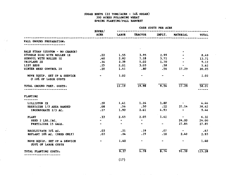#### SUGAR BEETS (22 TONS/ACRE - 14% SUGAR) 300 ACRES FOLLOWING WBKAT SPRING PLANTING/FALL HARVEST

in ist

 $\alpha$ 

 $\mathcal{L}^{\mathcal{L}}$ 

|                                                      | <b>HOURS/</b>                                                                                                                                                              | CASH COSTS PER ACRE    |                                       |                     |                                                               |              |
|------------------------------------------------------|----------------------------------------------------------------------------------------------------------------------------------------------------------------------------|------------------------|---------------------------------------|---------------------|---------------------------------------------------------------|--------------|
| -------------------------------                      | <b>ACRE</b>                                                                                                                                                                | LABOR                  | <b>TRACTOR</b>                        | IMPLT.              | <b>MATERIAL</b>                                               | <b>TOTAL</b> |
| FALL GROUND PREPARATION:                             |                                                                                                                                                                            |                        |                                       |                     |                                                               |              |
| BALE STRAW (CUSTOM - NO CHARGE)                      |                                                                                                                                                                            |                        | $\cdot$                               |                     |                                                               |              |
| STUBBLE DISC WITH ROLLER 1X                          | .22                                                                                                                                                                        |                        | $1.55$ $3.95$ $2.99$                  |                     |                                                               | 8.49         |
| SUBSOIL WITH ROLLER 1X                               | .40                                                                                                                                                                        |                        | 2.82 7.18 3.71 $\sim$                 |                     |                                                               | 13.71        |
| TRIPLANE 2X                                          |                                                                                                                                                                            |                        | $.34 \t 2.39 \t 5.02 \t 1.70$         |                     | $\sim$ 100 $\mu$                                              | 9.12         |
| LIST BEDS                                            |                                                                                                                                                                            |                        |                                       |                     | $.25 \t 2.01 \t 3.03 \t .58 \t - \t 5.62$                     |              |
| WINTER WEED CONTROL 2X                               |                                                                                                                                                                            |                        | $.20 \t 1.41 \t .80$                  |                     | $.56$ 17.29                                                   | 20.05        |
| MOVE EQUIP. SET UP & SERVICE<br>@ 10% OF LABOR COSTS | $\sim 100$ km s $^{-1}$<br>$\bullet$ .<br><br><br><br><br><br><br><br><br><br><br><br><br><br><br><br><br><br><br><br><br><br><br><br><br><br><br><br><br><br><br><br><br> | 1.02                   |                                       |                     | $\sim$ 100 $\sim$                                             | 1.02         |
| TOTAL GROUND PREP. COSTS:                            |                                                                                                                                                                            | 11.19                  | 19.98                                 | 9.54                | 17.29                                                         | 58.01        |
| PLANTING                                             |                                                                                                                                                                            |                        |                                       |                     |                                                               |              |
| LILLISTON 2X                                         | .20                                                                                                                                                                        |                        | $1.41 \t1.24 \t1.80$                  |                     | $\mathcal{L}_{\text{max}}$ , where $\mathcal{L}_{\text{max}}$ | 4.46         |
| <b>HERBICIDE 1/3 AREA BANDED</b>                     | .08                                                                                                                                                                        | .56                    | .50                                   | .22                 | $37.14$ $38.42$                                               |              |
| INCORPORATE 2/3 AC.                                  | .27                                                                                                                                                                        |                        | 1.90 2.61 4.93                        |                     | <b>Contract Contract</b>                                      | 9.44         |
| <b>PLANT</b>                                         | $.33 -$                                                                                                                                                                    |                        | $2.65$ $2.05$ $1.61$                  |                     | $\mathbb{R}^n$                                                | 6.32         |
| SEED 2 LBS./AC.                                      | $\blacksquare$                                                                                                                                                             | $\bullet$              | <b>Contract Contract</b>              |                     |                                                               | 24.00 24.00  |
| FERTILIZER 15 GALS.                                  | $\sim$                                                                                                                                                                     | $\Delta \sim 10^{-11}$ | $\blacksquare$                        | $\blacksquare$      | 27.85                                                         | 27.85        |
| RECULTIVATE 10% AC.                                  | .03                                                                                                                                                                        | .21                    | .19                                   | .07                 | $\frac{1}{2}$                                                 | .47          |
| REPLANT 10% AC. (SEED ONLY)                          | .03                                                                                                                                                                        | .24                    | .19                                   | .10                 | 2.40                                                          | 2.93         |
| MOVE EQUIP. SET UP & SERVICE<br>@20% OF LABOR COSTS  | $\bullet$ .<br><br><br><br><br><br><br><br><br><br><br><br><br><br><br><br><br><br><br><br><br><br><br><br><br><br><br><br><br><br><br><br><br>                            | 1.40                   | $\sigma_{\rm B}$ and $\sigma_{\rm B}$ | $\bullet$ $\bullet$ | $\sim$                                                        | 1.40         |
| TOTAL PLANTING COSTS:                                |                                                                                                                                                                            | 8, 37                  | 6.78                                  | 8.74                | 91.39                                                         | 115.28       |

(17)

 $\sim 10^{-1}$  km  $^{-1}$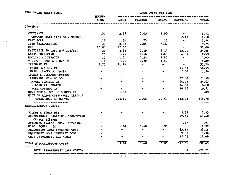| 1989 SUGAR BEETS CONT.                              | CASH COSTS PER ACRE<br>--------------------------------- |                 |                             |                          |                                 |                 |  |
|-----------------------------------------------------|----------------------------------------------------------|-----------------|-----------------------------|--------------------------|---------------------------------|-----------------|--|
|                                                     | hours/<br>acre                                           | labor           | TRACTOR                     | IMPLT.                   | MATERIAL                        | <b>TOTAL</b>    |  |
| GROWING:                                            |                                                          |                 |                             |                          |                                 |                 |  |
| $\frac{1}{2}$                                       |                                                          |                 |                             |                          |                                 |                 |  |
| CULTIVATE                                           | .33                                                      |                 | $2.65$ $2.05$ $1.00$        |                          | $\bullet$                       | 5.71            |  |
| CUTWORM BAIT (1/3 AC.) GROUND                       |                                                          |                 |                             |                          | 2.10                            | 2.10            |  |
| FLAT ROLL                                           | .12                                                      | . 34            |                             | $.75-.15$                | $\bullet$                       | 1.74            |  |
| THIN (ELECTRONIC)                                   | .33                                                      | 2.32            | 2.05                        | 5.37                     |                                 | 9.75            |  |
| HC3                                                 | 10.00                                                    | 57.00           |                             |                          |                                 | 57.00           |  |
| FERTILIZE 90 LBS. N @ 20c/LB.                       | .33                                                      | 2.32            |                             |                          | 3.19 1.14 18.00                 | 24.65           |  |
| LAYBY MERBICIDE                                     | $-25$                                                    |                 | $1.76$ $1.56$ $2.63$ $4.59$ |                          |                                 | 10.53           |  |
| <b>ROLLING CULTIVATOR</b>                           | $\ddot{\phantom{0}}$ . 20                                |                 | $1.41$ $1.24$ $1.80$        |                          | $-45$                           | 4,46            |  |
| V DITCH, OPEN & CLOSE 3X                            | .15                                                      |                 | 2.22                        | 1.40                     | $\bullet$                       | 4.82            |  |
| IRRIGATE 7X                                         | 8.75                                                     | $1.21$<br>52.76 | $\mathbf{a}_t$              | $\overline{\phantom{a}}$ | $\sim$                          | 52.76           |  |
| WATER 3.5 AC. FT.                                   | men.                                                     | $\bullet$       |                             | $\bullet$ .              | 54.55                           | 54.55           |  |
| MISC. (SHOVELS, DAMS)                               | $\bullet$                                                | $\sim$          |                             |                          | 2.50                            | 2.50            |  |
| INSECT & DISEASE CONTROL                            |                                                          |                 |                             |                          |                                 |                 |  |
| <b>AIRPLANE 5X @ \$5.50</b>                         |                                                          | $\mathbf{z}_2$  | $\bullet$                   | ۰                        | 27.50                           | 27.50           |  |
| APHID CONTROL 2X                                    |                                                          |                 |                             |                          | 34.05                           | 34.05           |  |
| MILDEW 2X, SULFUR                                   |                                                          | $\rightarrow$   |                             | $\overline{\phantom{a}}$ |                                 | 14.08 14.08     |  |
| <b>WORM CONTROL 1X</b>                              |                                                          |                 |                             |                          |                                 | $10.71$ $10.71$ |  |
| MOVE EQUIP. SET UP & SERVICE                        |                                                          | 1.88            |                             |                          | $\bullet$ . The state $\bullet$ | 1.88            |  |
| @15% OF LABOR COST(-HOE, IBRIG.)                    |                                                          |                 |                             |                          |                                 |                 |  |
| TOTAL GROWING COSTS:                                |                                                          | 124.16          | 13.06                       | 13.49                    | 168.08                          | 318.78          |  |
| **********************<br>MISCELLANEOUS COSTS:      |                                                          |                 |                             |                          |                                 | -------         |  |
|                                                     |                                                          |                 |                             |                          |                                 |                 |  |
| PICKUP & TRUCK USE                                  |                                                          |                 |                             |                          | 5.35                            | 5.35            |  |
| SUPERVISORS' SALARIES, ACCOUNTING<br>OFFICE EXPENSE |                                                          |                 |                             |                          | 49.40                           | 49.40           |  |
| BUILDING (TAXES, INS., REPAIRS)                     |                                                          |                 |                             |                          | .97                             | .97             |  |
| MISC. EQUIP. USE                                    |                                                          | 1.64            | 1.40                        | 3.95                     |                                 | 6.99            |  |
| PRODUCTION LOAN INTEREST COST                       |                                                          | $\bullet$       | $\sigma$                    | $\ddot{\phantom{1}}$     | 35,15                           | 35.15           |  |
| EQUIPMENT LOAN INTEREST COST                        |                                                          |                 |                             | $\blacksquare$           | 9.30                            | 9.30            |  |
| CROP INSURANCE, ALL ACRES                           |                                                          |                 |                             |                          | 27.48                           | 27.48           |  |
| TOTAL MISCELLANEOUS COSTS:                          |                                                          | 1.64            | 1.40                        | 3.95                     | 127.66                          | 134.65          |  |
| TOTAL PRE-HARVEST CASH COSTS:                       |                                                          |                 |                             |                          |                                 | 626.72          |  |

1989 SUGAR BEETS CONT.

Ċ,

 $\hat{a}_\mu$  .

 $(18)$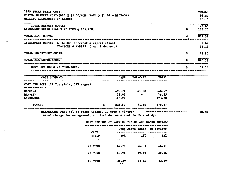| 1989 SUGAR BEETS CONT.                                                                           |                                                                                                                                |                 |                        |                 |    | <b>TOTALS</b>     |
|--------------------------------------------------------------------------------------------------|--------------------------------------------------------------------------------------------------------------------------------|-----------------|------------------------|-----------------|----|-------------------|
| CUSTOM HARVEST COST: (DIG @ \$2.00/TON; HAUL @ \$1.50 + MILEAGE)<br>HAULING ALLOWANCE: (MILEAGE) |                                                                                                                                |                 |                        |                 |    | 96.80<br>$-18.15$ |
| TOTAL HARVEST COSTS:<br>LANDOWNER SHARE (16% X 22 TONS @ \$35/TON)                               |                                                                                                                                |                 |                        |                 | \$ | 78.65<br>123.20   |
|                                                                                                  |                                                                                                                                |                 |                        |                 |    | 828.57            |
| TOTAL CASH COSTS:                                                                                |                                                                                                                                |                 |                        |                 | \$ |                   |
| INVESTMENT COSTS: BUILDING (interest & depreciation)                                             | TRACTORS & IMPLTS. (int. & deprec.)                                                                                            |                 |                        |                 |    | 5.69<br>36.11     |
| TOTAL INVESTMENT COSTS:                                                                          |                                                                                                                                |                 |                        |                 | Ŝ  | ------<br>41.80   |
| TOTAL ALL COSTS/ACRE:                                                                            |                                                                                                                                |                 |                        |                 | Ś  | 870.37            |
| COST PER TON @ 22 TONS/ACRE:                                                                     |                                                                                                                                |                 |                        |                 | \$ | 39.56             |
| COST SUMMARY:                                                                                    |                                                                                                                                | CASH            | <b>NON-CASH</b>        | <b>TOTAL</b>    |    |                   |
| COST PER ACRE (22 Ton yield, 14% sugar)                                                          |                                                                                                                                |                 |                        |                 |    |                   |
| <b>GROWING</b>                                                                                   |                                                                                                                                |                 | 626.72 41.80           | 668.52          |    |                   |
| <b>HARVEST</b><br><b>LANDOWNER</b>                                                               |                                                                                                                                | 78.65<br>123.20 |                        | 78.65<br>123.20 |    |                   |
| TOTAL:                                                                                           |                                                                                                                                | 828.57          | 41.80                  | 870.37          |    |                   |
|                                                                                                  | MANAGEMENT FEE: (5% of gross income, 22 tons x \$3/ton)<br>(usual charge for management, not included as a cost in this study) |                 | 2010 BALLAS BASÍNG ANG |                 |    | 38.50             |
|                                                                                                  | COST PER TON AT VARYING YIELDS AND SHARE RENTALS                                                                               |                 |                        |                 |    |                   |

 $\sim 10^7$ 

 $\sim$ 

 $\sim 10^{-11}$ 

|                      |                                           | Crop Share Rental in Percent |       |
|----------------------|-------------------------------------------|------------------------------|-------|
| <b>CROP</b><br>YIELD | 20%                                       | 16%                          | 12%   |
|                      |                                           |                              |       |
| 18 TONS              | 47.71                                     | 46.31                        | 44.91 |
| 22 TONS              | 40.96                                     | 39.56                        | 38.16 |
| <b>26 TONS</b>       | 36.29<br>$I \uparrow \wedge$ <sup>+</sup> | 34.89                        | 33.49 |

n bir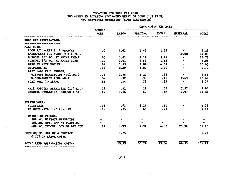#### TOMATOES (28 TONS PER ACRE) 700 ACRES IN ROTATION FOLLOWING WHEAT OR CORN (1/2 EACH) TWO HARVESTER OPERATION (BOTH ELECTRONIC)

|                                                      | <b>HOURS/</b>            | <b>CASH COSTS PER ACRE</b> |                                  |                |                                  |           |
|------------------------------------------------------|--------------------------|----------------------------|----------------------------------|----------------|----------------------------------|-----------|
|                                                      | <b>ACRE</b>              | <b>LABOR</b>               | <b>TRACTOR</b>                   | IMPLT.         | <b>MATERIAL</b>                  | TOTAL     |
| SEED BED PREPARATION:                                |                          |                            |                                  |                |                                  |           |
| FALL WORK:                                           |                          |                            |                                  |                |                                  |           |
| PLOW 1/2 ACRES @ .4 HR/ACRE                          | .20                      |                            | 1.61 2.42 1.18                   |                |                                  | 5.21      |
| LASERPLANE 10% ACRES @ \$120/AC.                     | $\sim$                   | $\sim$ $\sim$              | $\sim$ $\sim$                    | $\sim$ $\sim$  | 12.00                            | 12.00     |
| SUBSOIL 1/2 AC. 2X AFTER WHEAT                       | .40                      |                            | 2.82 7.18 3.71                   |                | $\sim$                           | 13.71     |
| SUBSOIL 1/2 AC. 1X AFTER CORN                        | $\ddot{\phantom{0}}$ .20 | 1.41                       | 3.59                             | 1.86           | $\bullet$ . The set of $\bullet$ | 6.86      |
| DISC 2X WITH ROLLER                                  | .26                      | 1.83                       | 3.84                             | 4.38           | <b>Contract Contract</b>         | 10.05     |
| TRIPLANE 2X                                          | .34                      | 2.39                       | 5.02                             | 1.70           | $\sim$ $\sim$                    | 9.12      |
| LIST (ALL FALL BEDDED)                               |                          |                            |                                  |                |                                  |           |
| WITHOUT NEMATICIDE (90% AC.)                         | .23                      | 1.85                       | 2.22                             | .53            | $\bullet$ .                      | 4.61      |
| W/NEMATACIDE (10% AC.)                               | $\ddotsc{0}$             | .32                        | .39                              | .15            | 12.63                            | 13.49     |
| FLAT ROLL TO SHAPE                                   | .12                      | .84                        | .75                              | .15            | $\bullet$ . The set of $\bullet$ | 1.74      |
| FALL APPLIED HERBICIDE (1/4 AC.)                     | $\ddot{\phantom{0}}$ .03 | .21                        | .19                              | .08            | 7.37                             | 7.85      |
| GENERAL HERBICIDE, GROUND 1.5X                       | $\sim$ 15                | 1.06                       | .60                              | .42            | 12.97                            | 15.04     |
| SPRING WORK:                                         |                          |                            |                                  |                |                                  |           |
| <b>CULTIVATE</b>                                     | .13                      |                            | $.92 \t 1.26$                    | .61            |                                  | 2.78      |
| RE-CULTIVATE (1/3 AC.) 1X                            | .05                      | .35                        | .48                              | .23            |                                  | 1.07      |
| HERBICIDE PROGRAM                                    |                          |                            |                                  |                |                                  |           |
| 20% AC. WITHOUT HERBICIDE                            | $\sim$ 100 $\pm$         | $\bullet$                  |                                  | $\blacksquare$ |                                  | $\bullet$ |
| 20% AC. SOIL CAP AT PLANTING                         |                          | $\blacksquare$             | $\bullet$ . The set of $\bullet$ |                |                                  |           |
| 60% AC. INCORP. 50% OF BED TOP                       | .24                      | 1.93                       | 2.32                             | 4.02           | 23.36                            | 31.63     |
| MOVE EQUIP. SET UP & SERVICE<br>@ 10% OF LABOR COSTS |                          | 1.75                       |                                  |                | $\qquad \qquad \blacksquare$     | 1.75      |
| TOTAL LAND PREPARATION COSTS:                        |                          | 19.29                      | 30.26                            | 19.04          | 68.33                            | 136.92    |
|                                                      |                          |                            |                                  |                |                                  |           |

 $(20)$ 

 $\sim$ 

contract of the contract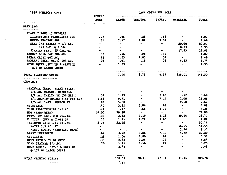| 1989 TOMATOES CONT.                                  | CASH COSTS PER ACRE<br>--------------------------------- |                                   |                                                                                                                                                                     |                                                           |                                              |                  |
|------------------------------------------------------|----------------------------------------------------------|-----------------------------------|---------------------------------------------------------------------------------------------------------------------------------------------------------------------|-----------------------------------------------------------|----------------------------------------------|------------------|
|                                                      | <b>HOURS/</b>                                            |                                   | ACRE LABOR TRACTOR                                                                                                                                                  |                                                           | IMPLT. MATERIAL                              | <b>TOTAL</b>     |
| PLANTING:                                            | -----------------------                                  |                                   |                                                                                                                                                                     |                                                           |                                              |                  |
| PLANT 2 ROWS (2 PEOPLE)                              |                                                          |                                   |                                                                                                                                                                     |                                                           |                                              |                  |
| LIGHTWEIGHT TRACKLAYER 20%                           | $.07$ $.96$ $.28$ $.83$                                  |                                   |                                                                                                                                                                     |                                                           |                                              | $\sim$ 2.07      |
| WHEEL TRACTOR 80Z                                    | .26                                                      |                                   | $3.57$ $2.01$ $3.09$                                                                                                                                                |                                                           | $\sim$ $\sim$ $\sim$                         | 8.68             |
| SEED 2/3 HYBRID @ 1/2 LB.                            | $\bullet$                                                | $\sim$ $\sim$                     | $\sim$ $\sim$                                                                                                                                                       | $\sim$ $\sim$ $\sim$                                      | 80.00 80.00                                  |                  |
| $1/3$ O.P. @ 1 LB.                                   |                                                          | de la contra                      | $\sim$ 100 $\mu$                                                                                                                                                    | $\sim$                                                    | 8.33 8.33                                    |                  |
| STARTER FERT. 15 GAL./AC                             |                                                          |                                   | $\bullet$ and $\bullet$ and $\bullet$ and $\bullet$ and $\bullet$ and $\bullet$ and $\bullet$ and $\bullet$ and $\bullet$ and $\bullet$ and $\bullet$ and $\bullet$ |                                                           | $-27.85$ 27.85                               |                  |
| REMOVE SOIL CAP 20% AC.                              | $.07$ $.56$ $.28$                                        |                                   |                                                                                                                                                                     | .16                                                       |                                              | $-1.00$          |
| BREAK CRUST 40% AC.                                  | .16                                                      |                                   | $1.13$ 1.00                                                                                                                                                         | .37                                                       | $\sim$ $\sim$ $\sim$ $\sim$                  | 2.49             |
| <b>REPLANT (SEED ONLY) 10% AC.</b>                   | $\ddot{\phantom{0}}$ .03                                 |                                   |                                                                                                                                                                     |                                                           | 41 .19 .31 8.83 9.74                         |                  |
| MOVE EQUIP., SET UP & SERVICE                        |                                                          |                                   | $-1.33$ $-$                                                                                                                                                         |                                                           | $  1.33$                                     |                  |
| 20% OF LABOR COSTS                                   |                                                          |                                   |                                                                                                                                                                     |                                                           |                                              |                  |
|                                                      |                                                          | -----                             |                                                                                                                                                                     | -----                                                     | ------                                       | ------           |
| TOTAL PLANTING COSTS:                                |                                                          |                                   | $7.96$ $3.75$ $4.77$                                                                                                                                                |                                                           | 125.01                                       | 141.50<br>------ |
| <b>GROWING:</b>                                      |                                                          |                                   |                                                                                                                                                                     |                                                           |                                              |                  |
|                                                      |                                                          |                                   |                                                                                                                                                                     |                                                           |                                              |                  |
| SPRINKLE IRRIG. STAND ESTAB.                         |                                                          |                                   |                                                                                                                                                                     |                                                           |                                              |                  |
| 1/6 AC. NATURAL RAINFALL                             | <b>Service Contract Service</b>                          | $\sim$ $\sim$                     |                                                                                                                                                                     |                                                           |                                              |                  |
| $1/6$ AC. RARLY: 1X (50 HRS.) $32$ 1.93 - 1.45 .22   |                                                          |                                   |                                                                                                                                                                     |                                                           |                                              | 3.60             |
| $1/3$ AC.MID-SEASON 2.4X(248 HR) $1.61$ 9.71         |                                                          |                                   | $\sim$                                                                                                                                                              |                                                           | 7.27 1.08 18.06                              |                  |
| $1/3$ AC. LATE: FURROW 2X                            | .83                                                      | 5.00                              | $\sim$                                                                                                                                                              | $\mathbf{w}$ and $\mathbf{w}$ are the set of $\mathbf{w}$ |                                              | $2.60$ 7.60      |
| <b>CULTIVATE</b>                                     | $\ddot{\bullet}$                                         |                                   | $3.22$ $3.86$ .93                                                                                                                                                   |                                                           | <b>Contract Contract Contract</b>            | 8.01             |
| THIN (ELECTRONIC) 1/3 AC.                            | $\cdot$ 11                                               |                                   | $.77$ $.68$ $1.79$                                                                                                                                                  |                                                           | $\sim$ 100 $\sim$                            | 3.25             |
| HOE (HAND WEED)                                      | 14.00 79.80                                              |                                   | $\sim$ $\sim$                                                                                                                                                       | $\sim$ $\sim$ $\sim$                                      | $\bullet$ . The state of the state $\bullet$ | 79.80            |
| <b>FERT.</b> 125 LBS. N @ 20c/1b.                    | $\cdot$ .33                                              |                                   | $2.32 \t3.19 \t1.26$                                                                                                                                                |                                                           | 25.00                                        | 31.77            |
| V DITCH, OPEN & CLOSE 3X                             | $\ddot{\phantom{0}}$ .15                                 |                                   | 1.21 2.22 1.40                                                                                                                                                      |                                                           | $\blacksquare$                               | 4.82             |
| IRRIGATE $7x \in 1.25$ HR./AC.                       |                                                          | 8.75 52.76                        | $\mathcal{L}^{\mathcal{A}}$ and $\mathcal{L}^{\mathcal{A}}$ and $\mathcal{L}^{\mathcal{A}}$                                                                         | $\sim$ $\sim$                                             |                                              | 52.76            |
| WATER 3.5 AC. FT.                                    | $\sim$                                                   | <b>Contract Contract Contract</b> | $\sim$ $\sim$                                                                                                                                                       |                                                           | $54.55$ 54.55                                |                  |
| MISC. EQUIP. (SHOVELS, DAMS)                         | the contract of the contract of the contract of          |                                   | $\sim$ $-$                                                                                                                                                          | $\sim$ $\sim$ $\sim$ $\sim$                               | 2.50 2.50                                    |                  |
| LAYBY HERBICIDE                                      |                                                          |                                   |                                                                                                                                                                     |                                                           | $.40$ 3.22 3.86 7.30 5.82 20.20              |                  |
| <b>CULTIVATE</b>                                     | .29                                                      |                                   | $2.04$ $2.80$                                                                                                                                                       | .67                                                       |                                              | $-5.52$          |
| CULTIVATE WITH HI-CROP                               | .33                                                      | 2.32                              | 2.55                                                                                                                                                                | .77                                                       |                                              | 5.64             |
| VINE TRAINER 1/2 AC.                                 | .20                                                      | 1.41                              | 1, 54                                                                                                                                                               | .27                                                       |                                              | 3.23             |
| MOVE EQUIP., SETUP & SERVICE<br>@ 15% OF LABOR COSTS |                                                          | 2.48                              | $\bullet$                                                                                                                                                           |                                                           |                                              | 2.48             |
| TOTAL GROWING COSTS:                                 |                                                          | 168.19                            | 20.71                                                                                                                                                               | 23.11                                                     | 91.76                                        | 303.78           |
|                                                      |                                                          | (21)                              |                                                                                                                                                                     |                                                           |                                              |                  |

and the control of the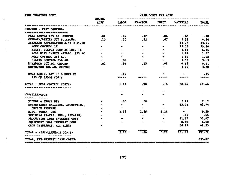1989 TOMATOES CONT.

 $\sim$  .

 $\mathcal{A}_{\rm{L2}}$ 

CASE COSTS PER ACRE

|                                    | <b>ECURS/</b>                                                  |                |                                                               |                                  |                     |        |  |
|------------------------------------|----------------------------------------------------------------|----------------|---------------------------------------------------------------|----------------------------------|---------------------|--------|--|
|                                    | ACRE                                                           | <b>LABOR</b>   | <b>TRACTOR</b>                                                | IMPLT.                           | MATERIAL            | TOTAL  |  |
| GROWING - PEST CONTROL:            |                                                                |                |                                                               |                                  |                     |        |  |
| FLEA BEETLE 25% AC. GROUND         |                                                                |                | $.02 \qquad .14 \qquad .12$                                   |                                  | $.06$ $.88$ $1.20$  |        |  |
| CUTWORM/BEETLE 50% AC.GROUND       | .10                                                            | . 70           | .62                                                           |                                  | $.07 \t3.16 \t4.56$ |        |  |
| AIRPLANE APPLICATION 2.5X @ \$5.50 |                                                                | $\blacksquare$ | $\frac{1}{2}$ , $\frac{1}{2}$ , $\frac{1}{2}$ , $\frac{1}{2}$ |                                  | $-13.75$            | 13.75  |  |
| WORM CONTROL 1X                    |                                                                |                |                                                               |                                  | 19.26               | 19.26  |  |
| MITES, SULFUR DUST 35 LBS. 1X      |                                                                |                | $\overline{\phantom{a}}$ .                                    |                                  | 6.16                | 6.16   |  |
| MOLD WITH INSECT APPLIC. 25% AC    |                                                                |                |                                                               |                                  | 1.82                | 1.82   |  |
| MOLD CONTROL 25% AC.               |                                                                | $\bullet$ .    |                                                               |                                  | 1.82                | 1.82   |  |
| MILDEW CONTROL 25% AC.             |                                                                | .00            |                                                               |                                  | 3.63                | 3.63   |  |
| ETHEPHOM 20% AC. GROUND            | $\overline{\phantom{a}}$ .02                                   | .14            | .15                                                           | .06                              | 6.56                | 6.91   |  |
| WEITEWASH 10% AC. CUSTOM           |                                                                |                |                                                               | $\bullet$ . The set of $\bullet$ | 3.20                | 3.20   |  |
| MOVE EQUIP. SET UP & SERVICE       |                                                                | .15            |                                                               |                                  |                     | .15    |  |
| 15% OF LABOR COSTS                 |                                                                | -----          |                                                               |                                  |                     |        |  |
| TOTAL - PEST CONTROL COSTS:        |                                                                | 1.13           | .90                                                           | .18                              | 60.24               | 62.46  |  |
|                                    |                                                                |                |                                                               |                                  |                     |        |  |
| MISCELLANEOUS:                     |                                                                |                |                                                               |                                  |                     |        |  |
|                                    |                                                                |                |                                                               |                                  |                     |        |  |
| PICKUP & TRUCK USE                 |                                                                | .00            | $.00 \,$                                                      |                                  | 7.12 7.12           |        |  |
| SUPERVISORS SALARIES, ACCOUNTING,  |                                                                |                |                                                               | $\blacksquare$                   | 65.74               | 65.74  |  |
| <b>OFFICE EXPENSE</b>              |                                                                |                |                                                               |                                  | $\sim$              |        |  |
| MISC. EQUIP. USE                   |                                                                | 2.18           | 1.86                                                          | 5,26                             | $\sim$ $\sim$       | 9.30   |  |
| BUILDING (TAXES, INS., REPAIRS)    |                                                                | $\bullet$      | $\blacksquare$                                                |                                  | .65                 | - 65   |  |
| PRODUCTION LOAN INTEREST COST      |                                                                |                |                                                               |                                  | $31.67$ $31.67$     |        |  |
| EQUIPMENT LOAN INTEREST COST       |                                                                |                |                                                               |                                  | 8.50                | 8.50   |  |
| CROP INSURANCE, ALL ACRES          |                                                                |                |                                                               |                                  | 68.25               | 68.25  |  |
| TOTAL - MISCELLANEOUS COSTS:       |                                                                | 2.18           | 7.86                                                          | 5.26                             | 181.92              | 191.22 |  |
| TOTAL, PRE-HARVEST CASH COSTS:     |                                                                |                |                                                               |                                  |                     | 835.87 |  |
|                                    | nam dia 417 Matata ary any ary ary ary ary ary ary ary ary ary |                |                                                               |                                  |                     |        |  |

 $\sim 10^{11}$ 

 $\sim$ 

and the state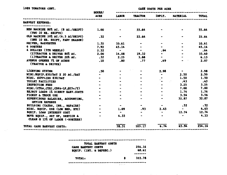| 1989 TOMATOES CONT.                                                   | <b>CASE COSTS PER ACRE</b><br>$EOURS/$ $---$ |                                                                                                                                                                                                                                    |                             |             |                                            |                           |
|-----------------------------------------------------------------------|----------------------------------------------|------------------------------------------------------------------------------------------------------------------------------------------------------------------------------------------------------------------------------------|-----------------------------|-------------|--------------------------------------------|---------------------------|
|                                                                       |                                              | <b>ACRE LABOR</b>                                                                                                                                                                                                                  | <b>TRACTOR</b>              |             | IMPLT. MATERIAL                            | <b>TOTAL</b>              |
| <b>HARVEST EXPENSE:</b>                                               |                                              |                                                                                                                                                                                                                                    |                             |             |                                            |                           |
| EEW MACHINE 80% AC. (8 AC./SEIFT)<br>(TWO 10 HR. SHIFTS)              | 1.00                                         |                                                                                                                                                                                                                                    | 55.64                       |             |                                            | 55.64                     |
| OLD MACHINE 20% AC. (6.3 AC/SHIFT)<br>(CNE 10 HR. SHIFT, PART SEASON) | .32                                          |                                                                                                                                                                                                                                    | 22.64                       |             |                                            | 22.64                     |
| DRIVER, HARVESTER                                                     | 1.32                                         | 10.61                                                                                                                                                                                                                              |                             |             |                                            | 10.61                     |
| 6 SORTERS                                                             | 7.92                                         | 45.14                                                                                                                                                                                                                              | $\sim$ $\sim$               |             |                                            | 45.14                     |
| 4 DOLLIES (5TH WHEELS)                                                | 2.32                                         | $\bullet$ . The contract of the contract of the contract of the contract of the contract of the contract of the contract of the contract of the contract of the contract of the contract of the contract of the contract of the co | <b>Contract Contract</b>    | .64         |                                            | . 64                      |
| $(2)$ TRACTOR & DRIVER 80% AC.                                        |                                              |                                                                                                                                                                                                                                    | $2.00$ 14.08 19.32          |             | <b>Contract Contract Contract Contract</b> | 33.40                     |
| (1) TRACTOR & DRIVER 20% AC.                                          |                                              |                                                                                                                                                                                                                                    | $.32 \t 2.25 \t 3.88$       |             |                                            | 6.13                      |
| AVENUE OPENER 7% OF ACRES<br>(TRACTOR & DRIVER)                       | .10                                          | .80                                                                                                                                                                                                                                | .77                         | .49         |                                            | 2.07                      |
| LIGHTING SYSTEM                                                       | .50                                          |                                                                                                                                                                                                                                    |                             | 2.98        |                                            | 2.98                      |
| MISC.EQUIP.\$50/DAY X 20 AC./DAY                                      |                                              |                                                                                                                                                                                                                                    |                             | $\bullet$ . | 2.50                                       | 2.50                      |
| MISC. SUPPLIES \$30/DAY                                               |                                              |                                                                                                                                                                                                                                    |                             |             | 1.50                                       | 1.50                      |
| TOILET PACILITIES                                                     |                                              |                                                                                                                                                                                                                                    |                             |             | $\sim$ $\sim$<br>.43                       | .43                       |
| INSPECTION FEES                                                       |                                              |                                                                                                                                                                                                                                    | $\mathcal{A}^{\mathcal{A}}$ |             | 3.25                                       | 3.25                      |
| MISC. (CTCA, CTRI, CDFA-LF, @25c/T)                                   |                                              |                                                                                                                                                                                                                                    |                             |             | 7.00                                       | 7.00                      |
| REJECT LOADS 1% DIRECT HARV.COSTS                                     |                                              |                                                                                                                                                                                                                                    |                             |             | $-1.76$                                    | 1.76                      |
| PICKUP & TRUCK USE                                                    |                                              |                                                                                                                                                                                                                                    |                             |             | 3.56                                       | 3.56                      |
| SUPERVISORS SALARIES, ACCOUNTING,<br><b>OFFICE EXPENSE</b>            |                                              |                                                                                                                                                                                                                                    |                             | $\bullet$   | 32.87                                      | 32.87                     |
| BUILDING (TAXES, INS., REPAIRS)                                       |                                              |                                                                                                                                                                                                                                    |                             | $\sim$      | .32                                        | $\ddot{\phantom{0}}$ . 32 |
| MISC. EQUIP. USE (LOW BED, ETC)                                       | $\overline{\phantom{0}}$                     | 1.09                                                                                                                                                                                                                               | $.93 -$                     | 2.63        | $\sim$ $-$                                 | 4.65                      |
| EQUIP. LOAN INTEREST COST                                             |                                              | $\bullet$                                                                                                                                                                                                                          |                             | $\bullet$ . | $12.74$ 12.74                              |                           |
| MOVE EQUIP., SET UP, SERVICE &<br>CLEAN @ 15% OF LABOR (~SORTKRS)     |                                              | 4.33                                                                                                                                                                                                                               |                             |             | $\bullet$                                  | 4.33                      |
| TOTAL CASH BARVEST COSTS:                                             |                                              | 78.31                                                                                                                                                                                                                              | 103.17                      | 6.74        | 65.94                                      | 254.16                    |

ist ju

TOTAL BARVEST COSTS CASE EARVEST COSTS 254.16 EQUIP. (INT. & DEPREC.) 68.61 -------TOTAL: 322.78 Ş 

 $\mathbb{R}^2$ 

 $\mathbf{r}$  and the  $\mathbf{r}$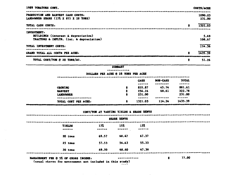| 1989 TOMATORS CONT.                                                                                               | <b>COSTS/ACRE</b> |
|-------------------------------------------------------------------------------------------------------------------|-------------------|
| PRODUCTION AND HARVEST CASH COSTS:<br>LANDOWNER SHARE $(15\overline{\lambda} \times 355 \times 28 \text{ T}0008)$ | 1090.03<br>231.00 |
| 8<br>TOTAL CASH COSTS:                                                                                            | 1321.03           |
| <b>INVESTRENT:</b><br>BUILDIMGS (interest & depreciation)<br>TRACTORS & IMPLTS. (int. & depreciation)             | 5.69<br>106.67    |
| TOTAL INVESTMENT COSTS:                                                                                           | 114.36            |
| 8<br>GRAND TOTAL ALL COSTS PER ACRE:                                                                              | 1435.39           |
| 3<br>TOTAL COST/TON @ 28 TONS/AC.                                                                                 | 51.26             |

#### **SUMMARY** \*\*\*\*\*\*\*\*\*\*\*\*

#### DOLLARS PER ACRE @ 28 TONS PER ACRE

|                      |   | <b>CASH</b> | <b>MON-CASN</b> | TOTAL   |  |
|----------------------|---|-------------|-----------------|---------|--|
|                      |   | ------      | --------        | ------  |  |
| <b>GROWING</b>       |   | 835.87      | 45.74           | 881.61  |  |
| <b>HARVEST</b>       | S | 254.16      | 68.61           | 322.78  |  |
| LANDOWNER            | ш | 231.00      |                 | 231.00  |  |
|                      |   | ------      | --------        | ------  |  |
| TOTAL COST FER ACRE: |   | 1321.03     | 114.36          | 1435.39 |  |

#### COST/TON AT VARYING YIKLDS & SHARE RENTS

|                         |               | <b>SHARE RENTS</b> |              |  |
|-------------------------|---------------|--------------------|--------------|--|
| <b>YIKLDS</b><br>------ | 177<br>------ | 15%<br>------      | 13%<br>----- |  |
| 20 tons                 | 69.57         | 68.47              | 67.37        |  |
| 25 toms                 | 57.53         | 56.43              | 55.33        |  |
| 30 tone                 | 49.50         | 48.40              | 47.30        |  |

 $\bullet$ 

#### MANAGEMENT FEE @ 5% OF GROSS INCOME:

12 YEAR OL BEER AS TO YOUR

(usual charse for management not included in this study) 产物力商

 $\sim$ 

77.00

Ş.

يوجب ويد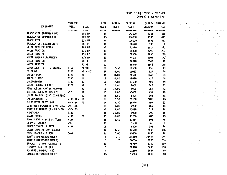COSTS OF EQUIPMENT - YOLO COU

(Annual & Hourly Cost

|                              | TRACTOR     |                | LIFE         | ACRES/      | ORIGINAL        | DEPRE-          | <b>INTERES</b>   | 定量法の                                                                                                                                                                                                                                                                                                                                                            | t kalendari ST                 | 简称的                                                 |
|------------------------------|-------------|----------------|--------------|-------------|-----------------|-----------------|------------------|-----------------------------------------------------------------------------------------------------------------------------------------------------------------------------------------------------------------------------------------------------------------------------------------------------------------------------------------------------------------|--------------------------------|-----------------------------------------------------|
| <b>EQUIPMENT</b>             | <b>USED</b> | SIZE           | <b>YEARS</b> | <b>HOUR</b> | <b>COST</b>     | CIATION         | <b>COS</b>       | $\sum_{i=1}^{n} \frac{1}{2} \sum_{i=1}^{n} \frac{1}{2} \sum_{i=1}^{n} \frac{1}{2} \sum_{i=1}^{n} \frac{1}{2} \sum_{i=1}^{n} \frac{1}{2} \sum_{i=1}^{n} \frac{1}{2} \sum_{i=1}^{n} \frac{1}{2} \sum_{i=1}^{n} \frac{1}{2} \sum_{i=1}^{n} \frac{1}{2} \sum_{i=1}^{n} \frac{1}{2} \sum_{i=1}^{n} \frac{1}{2} \sum_{i=1}^{n} \frac{1}{2} \sum_{i=1}^{n} \frac{1}{2$ |                                | nti pi                                              |
| TRACKLAYER (DRAWBAR HP)      | -------     | ----<br>190 HP | -----<br>15  | -------     | -----<br>143100 | -------<br>6201 | $- - -$<br>558   |                                                                                                                                                                                                                                                                                                                                                                 |                                | $\mathbb{R}^2 \times \mathbb{R}^2$                  |
| TRACKLAYER (DRAWBAR HP)      |             | 120 HP         | 15           |             | 106000          | 4593            | 413              |                                                                                                                                                                                                                                                                                                                                                                 | $\mathcal{L}^{\prime}$         | 73.07                                               |
| TRACKLAYER                   |             | 120 HP         | 15           |             | 106000          | 4593            | 413              |                                                                                                                                                                                                                                                                                                                                                                 | $\omega^2$ - 22                | $\mathcal{O}^{\mathcal{O}}$                         |
| TRACKLAYER, LIGHTWEIGHT      |             | 65 HP          | 15           |             | 20670           | 896             | 80               |                                                                                                                                                                                                                                                                                                                                                                 | a Tar                          | $\mathbb{F}_{q}$ , $\mathbb{F}_{q}$                 |
| WHEEL TRACTOR (PTO)          |             | 165 HP         | 10           |             | 71020           | 4616            | 277              |                                                                                                                                                                                                                                                                                                                                                                 | Police St                      | ni.                                                 |
| WHEEL TRACTOR                |             | 135 HP         | 10           |             | 58300           | 3790            | 227              |                                                                                                                                                                                                                                                                                                                                                                 | $\langle \vec{z} \rangle$      |                                                     |
| WHEEL TRACTOR                |             | 135 HP         | 10           |             | 58300           | 3790            | 227              |                                                                                                                                                                                                                                                                                                                                                                 | $\sim 20$                      | $\mathbb{E}[\mathbb{P}_{\mathbb{Q}},\phi]$          |
| WHEEL (HIGH CLEARANCE)       |             | 110 HP         | 10           |             | 44520           | 2894            | 173              |                                                                                                                                                                                                                                                                                                                                                                 |                                | $\mathbb{Z}_2$ , $\mathbb{Z}_2$                     |
| WHEEL TRACTOR                |             | 90 HP          | 10           |             | 36040           | 2343            | 140              |                                                                                                                                                                                                                                                                                                                                                                 |                                | 主任文                                                 |
| WHEEL TRACTOR                |             | 90 HP          | 10           |             | 36040           | 2343            | 140              |                                                                                                                                                                                                                                                                                                                                                                 |                                | $\mathcal{C}\in\mathcal{D}$                         |
| SUBSOILER - 8' - 3 SHANKS    | T190        | 24*DEEP        | 15           | 2.50        | 10500           | 455             | 41               |                                                                                                                                                                                                                                                                                                                                                                 |                                | $\mathcal{C}_{\rm{max}}$ , $\mathcal{C}_{\rm{max}}$ |
| TRIPLANE                     | <b>T120</b> | $16 \times 40$ | 15           | 6.00        | 19080           | 827             | 74               |                                                                                                                                                                                                                                                                                                                                                                 |                                | $\omega\in\mathbb{R}^2$                             |
| OFFSET DISC                  | T120        | 26'            | 15           | 8.00        | 26500           | 1148            | 103              |                                                                                                                                                                                                                                                                                                                                                                 |                                | $\bigcup_{i=1}^n \mathcal{L}_i$                     |
| STUBBLE DISC                 | T190        | 14'            | 15           | 4.50        | 19080           | 827             | 74               |                                                                                                                                                                                                                                                                                                                                                                 |                                | $\mathbb{S}^n \subset \mathbb{R}^n$                 |
| <b>SPRINGTOOTH</b>           | T120        | 32'            | 15           | 12.00       | 11500           | 498             | 44.              |                                                                                                                                                                                                                                                                                                                                                                 |                                | Maga                                                |
| SWEDE HARROW & CART          | <b>T120</b> | 32'            | 15           | 12.00       | 8000            | 347             | 31 <sub>i</sub>  |                                                                                                                                                                                                                                                                                                                                                                 | $\mathcal{F}(\mathcal{A})$ .   |                                                     |
| RING ROLLER (AFTER HARROWS)  |             | 32'            | 15           | 12.00       | 5950            | 258             | 23               |                                                                                                                                                                                                                                                                                                                                                                 | 禁忌                             | УĈ.                                                 |
| ROLLING CULTIVATORS (2)      | ₩90         | 16'            | 15           | 5.00        | 10400           | 451             | 40               |                                                                                                                                                                                                                                                                                                                                                                 | $\sigma_{\rm{1}}\rightarrow 0$ | ķυ.                                                 |
| LARGE ROLLER (36" DIAMETER)  |             | 12'            | 15           | 2.50        | 8500            | 368             | 33i              |                                                                                                                                                                                                                                                                                                                                                                 |                                | A.<br>$\sim$                                        |
| INCORPORATOR (2)             | W135-165    | 15'            | 10           | 2.50        | 38160           | 2480            | 148              |                                                                                                                                                                                                                                                                                                                                                                 |                                | in ing                                              |
| CULTIVATOR SLEDS (6)         | W90-135     | 16'            | 15           | 3.50        | 16020           | 694             | 62               |                                                                                                                                                                                                                                                                                                                                                                 |                                |                                                     |
| CORN-BEET PLANTERS(6)ON SLED | W90-135     |                | 15           | 3.00        | 3900            | 169             | 15               |                                                                                                                                                                                                                                                                                                                                                                 |                                |                                                     |
| TOMATO PLANTERS (6) ON SLED  | $W90 - 135$ |                | 15           | 3.00        | 11830           | 513             | 46.              |                                                                                                                                                                                                                                                                                                                                                                 | $\Omega_{\rm L}$               |                                                     |
| <b>V DITCHER</b>             | <b>T120</b> |                | 15           | 20.00       | 9000            | 390             | 35 <sub>i</sub>  |                                                                                                                                                                                                                                                                                                                                                                 |                                | D.                                                  |
| GRAIN DRILL                  | W 90        | 20'            | 15           | 8.00        | 11236           | 487             | 438              |                                                                                                                                                                                                                                                                                                                                                                 |                                |                                                     |
| PLOW 2 WAY X 5-16 BOTTONS    | W165        |                | 15           | 2.50        | 11554           | 501             | 45               |                                                                                                                                                                                                                                                                                                                                                                 |                                |                                                     |
| SPRAYER SYSTEM               | W90         |                | 15           |             | 1500            | 65              | 5.               |                                                                                                                                                                                                                                                                                                                                                                 |                                |                                                     |
| SADDLE TANKS (4 SETS)        | W135        |                | 15           |             | 6800            | 295             | 26!              |                                                                                                                                                                                                                                                                                                                                                                 | $\mathcal{I}=\mathcal{I}$      |                                                     |
| GRAIN COMBINE 20' HEADER     |             |                | 10           | 4.50        | 117660          | 7648            | 4589             |                                                                                                                                                                                                                                                                                                                                                                 |                                | ÷.<br>К.                                            |
| CORN HEADER ~ 8 ROW          | COMB.       |                | 10           | 5.00        | 25200           | 1638            | 98.              |                                                                                                                                                                                                                                                                                                                                                                 | 67                             | $\sim 4-10$                                         |
| TOMATO HARVESTOR (NEW)       |             |                | 5            | .70         | 165360          | 21497           | 644              |                                                                                                                                                                                                                                                                                                                                                                 | $\epsilon$ and                 | 光亮 11                                               |
| TOMATO HARVESTOR (USED)      |             |                | 5            | .70         | 60000           | 7800            | 234              |                                                                                                                                                                                                                                                                                                                                                                 | ka in                          | ίę γ.,                                              |
| TRUCKS - 2 TON FLATBED (2)   |             |                | 10           |             | 48760           | 3169            | 190 <sup>2</sup> | 安宁                                                                                                                                                                                                                                                                                                                                                              |                                | $\sim$ $ \sim$                                      |
| PICKUPS 3/4 TON (2)          |             |                | 5            |             | 28408           | 3693            | 1100             |                                                                                                                                                                                                                                                                                                                                                                 |                                |                                                     |
| PICKUPS, COMPACT (2)         |             |                | 5            |             | 22260           | 2894            | 861              | $\mathcal{L}^{\mathcal{A}}$ is                                                                                                                                                                                                                                                                                                                                  |                                | ÷,                                                  |
| LOWBED W/TRACTOR (USED)      |             |                | 15           |             | 15000           | 1000            | 58               | 1033 - 147                                                                                                                                                                                                                                                                                                                                                      | 第197                           | tiş.                                                |

 $\frac{1}{4}$ 

 $\sim$ 

 $\sim 10$ 

医无气体反射

 $(31)$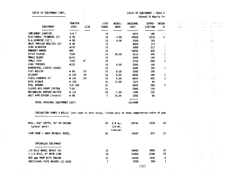#### COSTS OF EQUIPMENT CONT. \*\*\*\*\*\*\*\*\*\*\*\*\*\*\*\*\*\*\*\*\*\*\*\*\*

 $\sim$ 

 $\chi^{\mu}$  ,  $\chi^{\mu}$ 

 $\lambda_{\rm{max}}$ 

 $\begin{pmatrix} 1 \\ 1 \end{pmatrix}$ 

contract the contract of the contract of the

# COSTS OF EQUIPMENT - YOLO COSTS OF EQUIPMENT - YOLO CO

| (Annual |  | & Hourly Co |  |  |
|---------|--|-------------|--|--|
|---------|--|-------------|--|--|

 $\ddotsc$ 

 $\alpha$  , respectively. In the contract of the

|                                | <b>TRACTOR</b>   |                 | LIFE         | ACRES/ | ORIGINAL    | <b>DEPRE-</b> | INTER   | BAST DA       | 그는 어려운 어려워 주었다.                                                         | (感覚) 活力的                                            |
|--------------------------------|------------------|-----------------|--------------|--------|-------------|---------------|---------|---------------|-------------------------------------------------------------------------|-----------------------------------------------------|
| <b>EQUIPMENT</b>               | <b>USED</b>      | SIZE            | <b>YEARS</b> | HOUR   | <b>COST</b> | CIATION       | -CI     | <b>TABROS</b> | 中国 网络                                                                   | 微软变换 的复数                                            |
| ---------                      | -------          | ----            |              |        |             |               |         | and the state | so con a compliance and                                                 |                                                     |
| IMPLEMENT CARRIER              | $3/4$ T          |                 | 15           |        | 8915        | 386           | $\cdot$ |               | 휴대 다                                                                    | A.                                                  |
| ELECTRONIC THINNERS (2)        | ₩ 90             |                 | 10           | 3.00   | 34000       | 2210          | 1:      |               | a participation                                                         | $\mathcal{V}_{\rm{in}}$ , $\sim$                    |
| B.G. SCRAPER (10')             | ₩ 90             |                 | 10           | 4.00   | 2500        | 163           |         |               | ed Cy                                                                   | $\sim$ $\gamma$                                     |
| BULK TRAILER DOLLIES (4)       | W 90             |                 | 15           |        | 4000        | 173           |         |               | $\mathcal{G}(\mathcal{E})$ .                                            | M.                                                  |
| VINE DIVERTER                  | W135             |                 | 15           |        | 5000        | 217           |         |               | $\zeta_{\rm c}$ , $\zeta_{\rm c}$ , $\zeta_{\rm c}$<br>$\sim$ 100 $\mu$ | Gast.                                               |
| <b>BANKOUT WAGON</b>           | W90              |                 | 15           |        | 10050       | 436           |         |               | $\sim 5\,$ $\mu$ $^{-2}$ $\sim$                                         | 中国学院                                                |
| DITCH CLOSER                   | <b>T120</b>      |                 | 15           | 20.00  | 9110        | 395           |         |               | $\epsilon$ .                                                            | 25.                                                 |
| ANGLE BLADE                    | ₩135             |                 | 15           |        | 3300        | 143           |         |               |                                                                         | 22,5                                                |
| SMALL DISC                     | T120             | 9'              | 15           |        | 5750        | 249           | ٤       |               |                                                                         | in a P                                              |
| VINE TRAINER                   | ₩135             |                 | 15           | 4.00   | 2500        | 108           |         |               |                                                                         |                                                     |
| GENERATOR, LIGHTS (USED)       |                  |                 | 15           |        | 4500        | 195           |         |               |                                                                         | <b>Service</b>                                      |
| FLAT ROLLER                    | ₩ 90             | 16 <sup>1</sup> | 15           | 8,00   | 2500        | 108           |         |               |                                                                         |                                                     |
| <b>ALLOWAY</b>                 | ₩ 135            | 16'             | 10           | 6.00   | 8450        | 549           | 3       |               | 13                                                                      | is Di                                               |
| FLAIL CHOPPER 15'              | $M$ 135          | 15'             | 10           | 4.00   | 8650        | 562           | 3       |               | 37                                                                      | tal é.                                              |
| DISC RIDGER                    | ₩ 135            |                 | 15           | 17.00  | 1475        | 64            |         |               |                                                                         | $\mathcal{O}(2\pi)$ . The $\mathcal{O}(2\pi)$       |
| FUEL WAGONS                    | 3/4 TON          |                 | 10           |        | 6000        | 390           | 2       |               | $\left\langle e^{i\theta}\right\rangle_{\rm L}$                         | $\mathbf{e}_\mathrm{in}$ . $\mathbf{e}_\mathrm{in}$ |
| CLOSED MIX SPRAY SYSTEM        | $T - 65$         |                 | 10           |        | 2000        | 130           |         |               | 7 - 3                                                                   | りょう                                                 |
| MECHANICAL GOPHER BAITER       | W <sub>135</sub> |                 | 10           | 7.50   | 1590        | 103           |         |               |                                                                         | $\langle \hat{z}_i, z_k \rangle$                    |
| BAIT APPLICATOR (insect)       | ₩ 90             |                 | 7            | 15,00  | 1050        | 98            |         |               |                                                                         | $\mathcal{H}^{\pm}(\mathcal{M})$                    |
|                                |                  |                 |              |        |             |               |         |               |                                                                         |                                                     |
| TOTAL ORIGINAL EQUIPMENT COST: |                  |                 |              |        | 1513488     |               |         |               |                                                                         |                                                     |

IRRIGATION PUMPS & WELLS: (not used in this study, listed only to show comparative costs of pum ---------------------------

÷

 $\sim$   $\sim$   $\sim$ 

| WELL, 450' DEPTH, 16" OD CASING<br>(gravel pack) | 20 | $2.4 \text{ ac}/$<br>$1/4$ mi.<br>line/set | 24750 | 1238 | 14 | けいほうしゅうようかい<br>$\mathcal{L}^{(1,1)}$ |                               | スキッド                               |
|--------------------------------------------------|----|--------------------------------------------|-------|------|----|--------------------------------------|-------------------------------|------------------------------------|
| 75HP PUMP + HOOK UP+WELL DEVEL.                  | 20 |                                            | 19500 | 975  | 11 |                                      | <b>START COMPANY</b>          | A.                                 |
|                                                  |    |                                            |       |      |    |                                      | (物) (1) ショック                  |                                    |
| SPRINKLER EQUIPMENT                              |    |                                            |       |      |    |                                      |                               |                                    |
| --------------------                             |    |                                            |       |      |    |                                      |                               |                                    |
| 1/4 MILE WHEEL MOVES (4)                         | 10 |                                            | 58800 | 5880 | 35 |                                      |                               | 计加热                                |
| 1 1/2 MILE, 8" MAIN LINE                         | 10 |                                            | 41800 | 4180 | 25 |                                      | 医眼皮炎                          | 经职业                                |
| 800 gpm PUMP WITH ENGINE                         | 10 |                                            | 14500 | 1450 | 8  |                                      | $\alpha$ is a second $\alpha$ | 79.                                |
| ADDITIONAL PIPE MOVERS (2) USED                  |    |                                            | 2000  | 286  |    |                                      | and the con-                  | $\mathcal{L}^{\mathcal{C}}$ .<br>. |
|                                                  |    |                                            | 32)   |      |    |                                      |                               |                                    |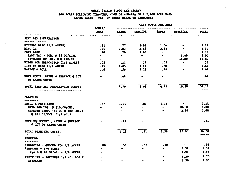# WHEAT (YIELD 5,500 LBS./ACRE)<br>900 ACRES FOLLOWING TOMATOES, CORN OR ALFALFA ON A 2,900 ACRE FARM<br>LEASE BASIS - 28% OF GROSS SALES TO LANDOWNER

|                                                                    | <b>HOURS/</b>                            |                             |                  |                                  |                                  |                |
|--------------------------------------------------------------------|------------------------------------------|-----------------------------|------------------|----------------------------------|----------------------------------|----------------|
|                                                                    | ACRE                                     | <b>LABOR</b>                | <b>TRACTOR</b>   | <b>IMPLT.</b>                    | <b>MATERIAL</b>                  | <b>TOTAL</b>   |
| <b>SEED BED PREPARATION</b>                                        |                                          |                             |                  |                                  |                                  |                |
| ---------------------                                              |                                          |                             |                  |                                  |                                  |                |
| STUBBLE DISC (1/2 ACRES)<br>DISC <sub>2</sub> x                    | $\cdot$ 11                               | .77                         |                  | $1.98$ 1.04                      | $\sim$ $\sim$<br>$\bullet$       | 3.79<br>9.10   |
| <b>FERTILIZE</b>                                                   | .26                                      | 1.83                        | 3.84<br>1.48     | 3.42<br>$\sim$ 100 $\mu$         | $\sim$ $\sim$                    | 2.18           |
| <b>RENT TAG A LOSC @ \$3.00/ACRE</b>                               | .10<br>$\frac{1}{2}$ and $\frac{1}{2}$ . | .70<br>$\bullet$            | $\sim$           | $\bullet$                        | 3.00                             | 3.00           |
| NITROGEN 80 LBS. N @ 21C/LB.                                       | $\sim$                                   | $\bullet$ .                 | $\bullet$        | $\bullet$                        | 16.80                            | 16.80          |
| RIDGE FOR IRRIGATION (1/2 ACRES)                                   | $\overline{\phantom{a}}$ .03             | $\overline{\mathbf{1}}$     | .29              | .05                              | $\bullet$                        | .55            |
| LIST UP BEDS (1/2 ACRES)                                           | .13                                      | 1.05                        | 1.26             | .30                              | $\blacksquare$                   | 2.60           |
| HARROW & ROLL                                                      | .08                                      |                             | $.56$ 1.18       | .69                              | $\bullet$ .                      | 2.44           |
|                                                                    |                                          |                             |                  |                                  |                                  |                |
| MOVE EQUIP., SETUP & SERVICE @ 10%<br>OF LABOR COSTS               | $\sim$ 100 $\mu$                         | $-44$                       |                  |                                  | $\bullet$                        | - 44           |
| TOTAL SEED BED PEEPARATION COSTS:<br>----------------------------- |                                          | 4.79                        | 8.05             | 4.47                             | 19.80                            | 37.11          |
| <b>PLANTING</b>                                                    |                                          |                             |                  |                                  |                                  |                |
|                                                                    |                                          |                             |                  | 1.36                             | $\sim$                           | 3.21           |
| DRILL & FERTILIZE                                                  | .13                                      | 1.05                        | .81              | $\bullet$                        | 10.00                            | 10.00          |
| SEED 100 LBS. @ \$10.00/CWT.<br>STARTER FERT. (16-20 @ 100 LBS.)   | $\blacksquare$                           | $\bullet$<br>$\blacksquare$ |                  | $\bullet$ $\bullet$              | 2.88                             | 2.88           |
| @ 311.53/CWT. (1/4 AC.)                                            |                                          |                             |                  |                                  |                                  |                |
| MOVE EQUIPMENT., SETUP & SERVICE<br>@ 20% OF LABOR COSTS           |                                          | .21                         |                  |                                  |                                  | .21            |
| TOTAL PLANTING COSTS:<br>-----------------------                   |                                          | 1.25                        | $\overline{.81}$ | $\overline{1.36}$                | 12.88                            | 16.30<br>----- |
| <b>GROWING:</b><br>---------                                       |                                          |                             |                  |                                  |                                  |                |
| HERBICIDE - GROUND RIG 1/2 ACRES                                   | .08                                      | .56                         | .32              | .10                              | $\bullet$ . The set of $\bullet$ | .99            |
| $AIRPLABE - 1/4 ACRES$                                             |                                          |                             |                  | $\bullet$ . The set of $\bullet$ | 1.31                             | 1.31           |
| $(2, 4-D \& 10 \ 0Z/AC. - 3/4 \ ACRES)$                            |                                          | $\bullet$                   | $\bullet$        | $\bullet$ .                      | 1.69                             | 1.69           |
|                                                                    |                                          |                             |                  |                                  |                                  | 6.20           |
| FERTILIZE - TOPDRESS 1/2 AC. 400 M                                 |                                          |                             |                  |                                  | 6,20                             |                |
| <b>AIRPLANE</b>                                                    |                                          |                             |                  | $\bullet$                        | 3.50                             | 3.50           |

#### CASE COSTS PER ACRY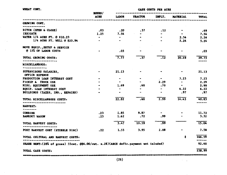| WHEAT CONT.                                                                          | <b>HOURS/</b>  |                | -------------- | <b>CASH COSTS PER ACRE</b> |                               |        |
|--------------------------------------------------------------------------------------|----------------|----------------|----------------|----------------------------|-------------------------------|--------|
| ***************************                                                          | <b>ACRE</b>    | LABOR          | <b>TRACTOR</b> | IMPLT.                     | ----------<br><b>MATERIAL</b> | TOTAL  |
| <b>CROWING CONT.</b>                                                                 |                |                |                |                            |                               |        |
| ----------                                                                           |                |                |                |                            |                               |        |
| DITCH (OPEN & CLOSE)                                                                 | .03            | $\ddotsc 20$   | .37            | .12                        |                               | .69    |
| <b>IRRIGATE</b>                                                                      | 1.25           | 7.54           |                |                            |                               | 7.54   |
| WATER 1/4 ACRE FT. @ \$10.23                                                         | $\blacksquare$ | $\blacksquare$ |                |                            | 2.56                          | 2.56   |
| 1/4 ACRE FT. WELL @ \$20.94                                                          |                |                |                |                            | 5.24                          | 5.24   |
| MOVE EQUIP., SETUP & SERVICE                                                         |                |                |                |                            |                               |        |
| <b>@ 15% OF LABOR COSTS</b>                                                          |                | .03            |                |                            |                               | .03    |
| TOTAL GROWING COSTS:                                                                 |                | 7.77           | .37            | .12                        | 20.49                         | 29.73  |
| --------------------                                                                 |                |                |                |                            |                               |        |
| <b>MISCELLANEOUS:</b>                                                                |                |                |                |                            |                               |        |
| ---------------                                                                      |                | 21.13          |                |                            |                               |        |
| SUPERVISORS SALARIES,<br>OFFICE EXPENSE                                              |                |                |                |                            |                               | 21.13  |
| PRODUCTION LOAN INTEREST COST                                                        |                | $\bullet$      |                |                            | 7.23                          | 7.23   |
| PICKUP & TRUCK USE                                                                   |                | $\blacksquare$ |                | 2.29                       | $\bullet$                     | 2.29   |
| MISC. EQUIPMENT USE                                                                  |                | 1.69           | .60            | .70                        | $\overline{\phantom{a}}$      | 2.99   |
| EQUIP. LOAN INTEREST COST                                                            |                |                | ۰              | ۰                          | 6.22                          | 6.22   |
| BUILDINGS (TAXES, INS., REPAIRS)                                                     |                | $\bullet$      |                | $\blacksquare$             | .97                           | .97    |
| TOTAL MISCELLANEOUS COSTS:                                                           |                | 22.82          | .60            | 2.99                       | 14.43                         | 40.83  |
| -------------------------                                                            |                |                |                |                            |                               | -----  |
| <b>HARVEST:</b><br>-------                                                           |                |                |                |                            |                               |        |
| <b>COMBINE</b>                                                                       | .23            | 1.85           | 9.87           |                            |                               | 11.72  |
| <b>BANKOUT WAGON</b>                                                                 | .23            | 1.62           | .72            | .99                        |                               | 3.32   |
| TOTAL HARVEST COSTS:                                                                 |                | 3.47           | 10.59          | .99                        |                               | 15.04  |
| POST HARVEST COST (STUBBLE DISC)                                                     | .22            | 1.55           | 3.95           | 2.08                       |                               | 7.58   |
| TOTAL CULTURAL AND HARVEST COSTS:                                                    |                |                |                |                            | \$                            | 146.59 |
| SHARE RENT: (28% of gross) 55cwt. @\$6.00/cwt. x.28)(ASCS defic.payment not inluded) |                |                |                |                            |                               | 92.40  |
| TOTAL CASH COSTS:                                                                    |                |                |                |                            |                               | 238.99 |
| 第242日 美国社会学校美国航空部管理社会主管教养学会教育学科研究研究委员会会科学研究研究会会会会社会研究研究研究室研究学研究科研究研究                 |                |                |                |                            |                               |        |

 $(26)$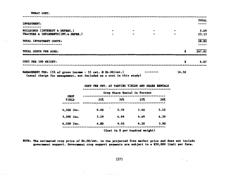WHEAT CONT.

|                                       |                                            |           |           | TOTAL  |
|---------------------------------------|--------------------------------------------|-----------|-----------|--------|
| INVESTMENT:                           |                                            |           |           |        |
|                                       |                                            |           |           |        |
| BUILDINGS (INTEREST & DEPREC.)        | $\bullet$                                  | $\bullet$ | $\bullet$ | 5.69   |
| TRACTORS & IMPLEMENTS (INT. & DEPRE.) |                                            |           | $\bullet$ | 23.13  |
| TOTAL INVESTMENT COSTS:               |                                            |           |           | 28.82  |
|                                       |                                            |           |           |        |
| TOTAL COSTS PER ACRE:                 |                                            |           | s         | 267.81 |
|                                       | 1.8.10.余元元后的刘公公主的日子曾对家长承办他的对交会会发发活动是最新要求的主 |           |           |        |
| COST PER 100 WEIGHT:                  |                                            |           | \$        | 4.87   |
|                                       |                                            |           |           |        |
|                                       |                                            |           |           |        |
|                                       |                                            |           | .         |        |

MANAGEMENT FEE:  $(5\% \text{ of gross income} - 55 \text{ cut. } @ 36.00/\text{cut.})$ 16.50 ---------(usual charge for management, not included as a cost in this study)

|                             | COST PER CWT. AT VARYING YIELDS AND SHAKE KENTALS |      |                              |      |
|-----------------------------|---------------------------------------------------|------|------------------------------|------|
|                             |                                                   |      | Crop Share Rental in Percent |      |
| <b>CROP</b><br><b>YIELD</b> | 35%                                               | 30%  | 25%                          | 20%  |
| 4,500 lbs.                  | 6.00                                              | 5.70 | 5.40                         | 5.10 |
| 5,500 lbs.                  | 5.29                                              | 4.99 | 4.69                         | 4.39 |
| $6,500$ lbs.                | 4.80                                              | 4.50 | 4.20                         | 3.90 |

 $\overline{a}$ 

(Cost in \$ per hundred weight)

 $\overline{a}$ 

NOTE: The estimated crop price of \$6.00/cwt. is the projected free market price and does not include government support. Government crop support payments are subject to a \$50,000 limit per farm.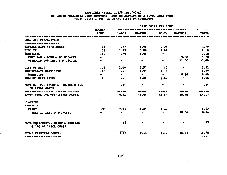## SAFFLOWER (YIELD 2,250 LBS./ACRE) 300 ACRES FOLLOWING WING TOMATOES, CORN OR ALFALFA ON A 2,900 ACRE FARM

 $\sim 10^7$ 

|                                                          | HOURS/      | GABE GUSTS FER AGEE |                |                |                 |                |  |  |
|----------------------------------------------------------|-------------|---------------------|----------------|----------------|-----------------|----------------|--|--|
|                                                          | <b>ACRE</b> | LABOR               | <b>TRACTOR</b> | <b>IMPLT.</b>  | <b>MATERIAL</b> | <b>TOTAL</b>   |  |  |
| SEED BED PREPARATION                                     |             |                     |                |                |                 |                |  |  |
| STUBBLE DISC (1/2 ACRES)                                 | .11         | .77                 | 1.98           | 1.04           |                 | 3.79           |  |  |
| DISC <sub>2</sub> X                                      | .26         | 1.83                | 3.84           | 3.42           |                 | 9.10           |  |  |
| FERTILIZE                                                | .10         | .70                 | 1.48           | $\bullet$      | $\sim$          | 2.18           |  |  |
| RENT TAG A LONG @ \$3.00/ACRE                            |             | $\blacksquare$      | $\bullet$      | $\blacksquare$ | 3,00            | 3.00           |  |  |
| NITROGEM 100 LBS. N @ 21C/LB.                            |             |                     |                | $\blacksquare$ | 21.00           | 21.00          |  |  |
| LIST UP BEDS                                             | .26         | 2.09                | 2.51           | .60            | ۰               | 5.21           |  |  |
| INCORPORATE HERBICIDE                                    | .20         | 1.61                | 1.93           | 3,35           | $\bullet$ .     | 6.89           |  |  |
| HERBICIDE                                                |             | $\bullet$           | $\sim$ $\sim$  | $\bullet$      | 8.60            | 8.60           |  |  |
| ROLLING CULTIVATOR                                       | .20         | 1.41                | 1.24           | 1.80           | $\bullet$       | 4.46           |  |  |
| MOVE EQUIP., SETUP & SERVICE @ 10%<br>OF LABOR COSTS     |             | .84                 |                | $\sim$ $-$     | $\bullet$       | .84            |  |  |
|                                                          |             |                     |                |                |                 |                |  |  |
| TOTAL SEED BED PEEPARATON COSTS:                         |             | 9.26                | 12.98          | 10.23          | 32.60           | 65.07          |  |  |
| <b>PLANTING</b>                                          |             |                     |                |                |                 |                |  |  |
| PLANT                                                    | .33         | 2.65                | 2.05           | 1.12           |                 | 5.83           |  |  |
| SEED 22 LBS. @ \$47/CWT.                                 |             | $\blacksquare$      |                | $\bullet$      | 10.34           | 10.34          |  |  |
| MOVE EQUIPMENT., SETUP & SERVICE<br>@ 20% OF LABOR COSTS |             | .53                 |                |                |                 | .53            |  |  |
| TOTAL PLANTING COSTS:<br>----------------------          |             | 3.18                | 2,05           | 1.12           | 10.34           | 16.70<br>----- |  |  |

 $\pm$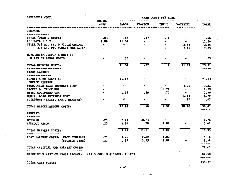SAFFLOWER CONT.

**CASH COSTS PER ACRE** 

 $\mathcal{L}^{\pm}$  $\mathbf{r}$ 

|                                                                 | <b>BOURS/</b> |                          |                        |                     |                             |                    |  |
|-----------------------------------------------------------------|---------------|--------------------------|------------------------|---------------------|-----------------------------|--------------------|--|
|                                                                 | ACRE          | LABOR                    | <b>TRACTOR</b>         | IMPLT.              | <b>MATTRIAL</b>             | TOTAL              |  |
| GROWING:                                                        |               |                          |                        |                     |                             |                    |  |
| *************                                                   |               |                          |                        |                     |                             |                    |  |
| DITCH (OPEN & CLOSE)<br>IERIGATE 1.5 X                          | .03<br>1.88   | .18<br>11.34             | .37<br>$\sim 10^{-11}$ | .12                 | $\blacksquare$<br>$\bullet$ | . 66<br>11.34      |  |
| WATER 3/8 AC. FT. @ \$10.23/AC.FT.                              | $\bullet$     | $\bullet$                |                        |                     | 3.84                        | 3.84               |  |
| 3/8 AC. FT. (WELL) @20.94/AC.                                   | $\bullet$     | $\blacksquare$           |                        |                     | 7.85                        | 7.85               |  |
| MOVE EQUIP., SETUP & SERVICE                                    |               |                          |                        |                     |                             |                    |  |
| @ 15% OF LABOR COSTS                                            |               | .03                      |                        |                     |                             | .03                |  |
| TOTAL GROWING COSTS:<br>*****************                       |               | 11.54                    | $\overline{.37}$       | $\overline{.12}$    | 11.69                       | 23.71<br>-----     |  |
| <b>MISCELLANEOUS:</b>                                           |               |                          |                        |                     |                             |                    |  |
| SUPERVISORS SALARIES,                                           | $\bullet$     | 21.13                    |                        |                     | $\bullet$                   | 21,13              |  |
| <b>OFFICE EXPENSE</b>                                           |               |                          |                        | $\sim$ $\sim$       |                             |                    |  |
| PRODUCTION LOAN INTEREST COST                                   |               |                          | $\bullet$              |                     | 3.21                        | 3.21               |  |
| PICKUP & TRUCK USE                                              | $\bullet$     | $\overline{\phantom{a}}$ |                        | $-2.29$             | $\sim$                      | 2.29               |  |
| MISC. EQUIPMENT USE                                             |               | 1.69                     | .60                    | - 70<br>$\bullet$   | $\bullet$<br>6.22           | 2.99               |  |
| EQUIP. LOAN INTEREST COST<br>BUILDINGS (TAXES, INS., REPAIRS)   |               | $\bullet$                |                        | $\bullet$           | .97                         | 6.22<br>. 97       |  |
| TOTAL MISCELLANEOUS COSTS:                                      |               | 22.82                    | .60                    | 2.99                | 10.40                       | 36.81<br>------    |  |
| -----------------------------<br><b>EARVEST:</b>                |               |                          |                        |                     |                             |                    |  |
| <br><b>COMBINE</b>                                              | .25           | 2.01                     | 10.73                  |                     |                             | 12.74              |  |
| <b>BARKOUT WAGOW</b>                                            | .25           | 1.76                     | .78                    | 1.07                |                             | 3.61               |  |
| TOTAL HARVEST COSTS:                                            |               | $\overline{3.77}$        | 11.51                  | $\frac{1.07}{1.07}$ |                             | $\overline{16.35}$ |  |
| -----------------<br>POST HARVEST COSTS: (CHOP STUBBLE)         | .25           | 1.76                     | 2.42                   | 1.00                |                             | 5.18               |  |
| (STUBBLE DISC)                                                  | .22           | 1.55                     | 3.95                   | 2.08                |                             | 7.58<br>------     |  |
| TOTAL CULTURAL AND KARVEST COSTS:                               |               |                          |                        |                     |                             | 171.40             |  |
| SKARE RENT (25% OF GROSS INCOME) (22.5 CWT. @ \$15/CWT. X .25%) |               |                          |                        |                     |                             | 84.38              |  |
|                                                                 |               |                          |                        |                     |                             | ------             |  |
| TOTAL CASH COSTS.                                               |               |                          |                        |                     |                             | 255.77             |  |

TOTAL CASH COSTS:

 $\ddot{\phantom{0}}$ 

and the company